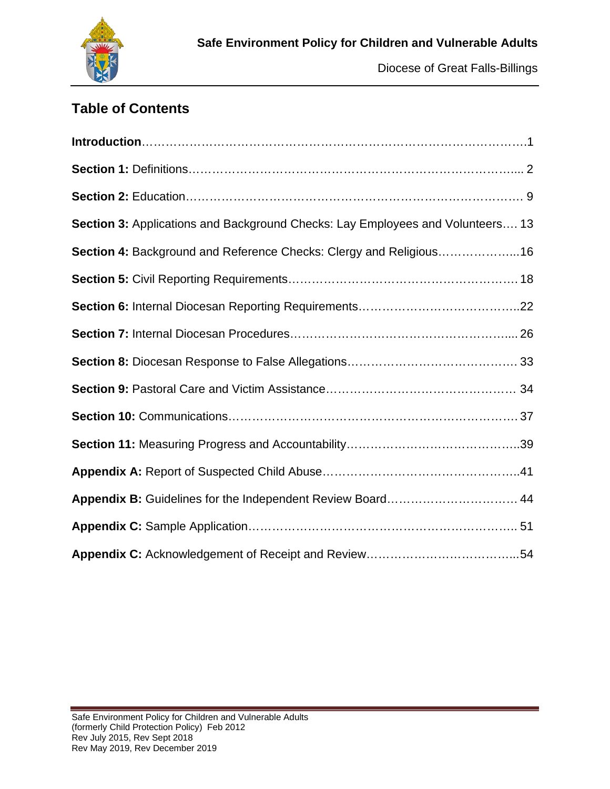

# **Table of Contents**

| Section 3: Applications and Background Checks: Lay Employees and Volunteers 13 |
|--------------------------------------------------------------------------------|
| Section 4: Background and Reference Checks: Clergy and Religious16             |
|                                                                                |
|                                                                                |
|                                                                                |
|                                                                                |
|                                                                                |
|                                                                                |
|                                                                                |
|                                                                                |
| Appendix B: Guidelines for the Independent Review Board 44                     |
|                                                                                |
|                                                                                |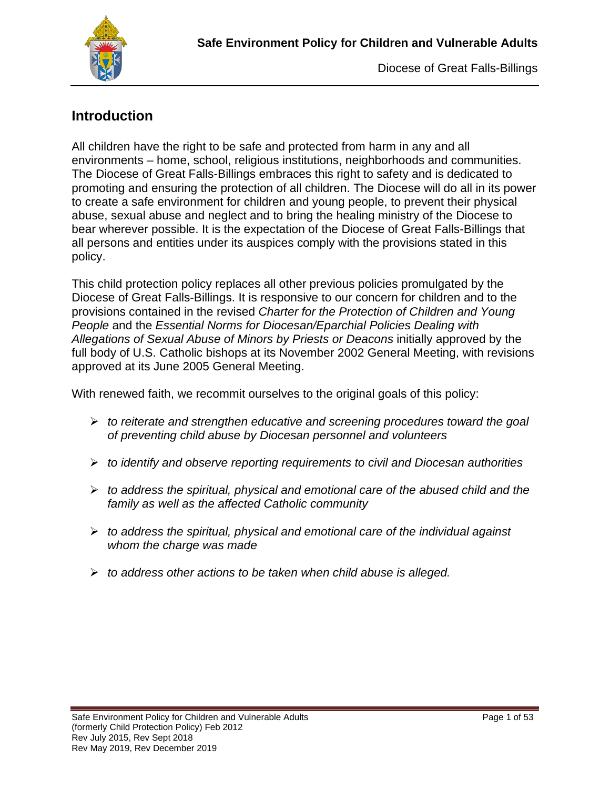

## **Introduction**

All children have the right to be safe and protected from harm in any and all environments – home, school, religious institutions, neighborhoods and communities. The Diocese of Great Falls-Billings embraces this right to safety and is dedicated to promoting and ensuring the protection of all children. The Diocese will do all in its power to create a safe environment for children and young people, to prevent their physical abuse, sexual abuse and neglect and to bring the healing ministry of the Diocese to bear wherever possible. It is the expectation of the Diocese of Great Falls-Billings that all persons and entities under its auspices comply with the provisions stated in this policy.

This child protection policy replaces all other previous policies promulgated by the Diocese of Great Falls-Billings. It is responsive to our concern for children and to the provisions contained in the revised *Charter for the Protection of Children and Young People* and the *Essential Norms for Diocesan/Eparchial Policies Dealing with Allegations of Sexual Abuse of Minors by Priests or Deacons* initially approved by the full body of U.S. Catholic bishops at its November 2002 General Meeting, with revisions approved at its June 2005 General Meeting.

With renewed faith, we recommit ourselves to the original goals of this policy:

- *to reiterate and strengthen educative and screening procedures toward the goal of preventing child abuse by Diocesan personnel and volunteers*
- *to identify and observe reporting requirements to civil and Diocesan authorities*
- *to address the spiritual, physical and emotional care of the abused child and the family as well as the affected Catholic community*
- *to address the spiritual, physical and emotional care of the individual against whom the charge was made*
- *to address other actions to be taken when child abuse is alleged.*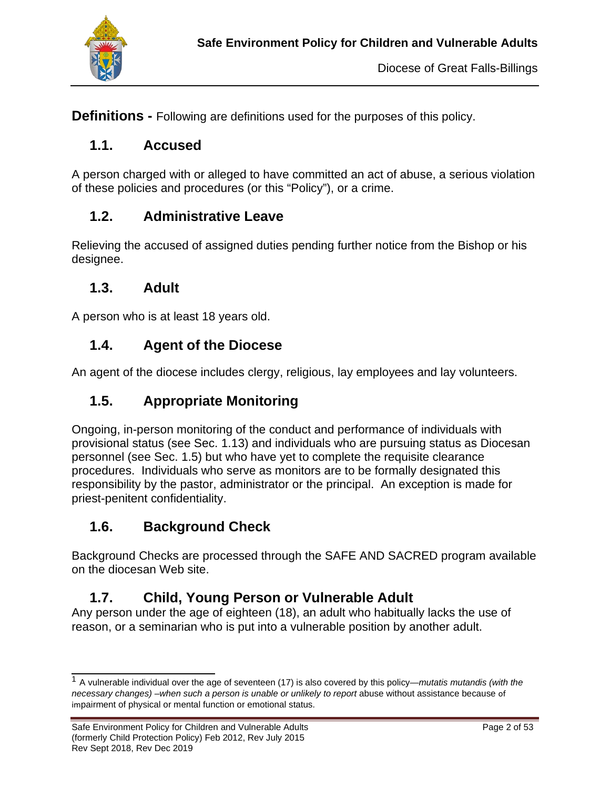

**Definitions -** Following are definitions used for the purposes of this policy.

### **1.1. Accused**

A person charged with or alleged to have committed an act of abuse, a serious violation of these policies and procedures (or this "Policy"), or a crime.

#### **1.2. Administrative Leave**

Relieving the accused of assigned duties pending further notice from the Bishop or his designee.

#### **1.3. Adult**

A person who is at least 18 years old.

#### **1.4. Agent of the Diocese**

An agent of the diocese includes clergy, religious, lay employees and lay volunteers.

## **1.5. Appropriate Monitoring**

Ongoing, in-person monitoring of the conduct and performance of individuals with provisional status (see Sec. 1.13) and individuals who are pursuing status as Diocesan personnel (see Sec. 1.5) but who have yet to complete the requisite clearance procedures. Individuals who serve as monitors are to be formally designated this responsibility by the pastor, administrator or the principal. An exception is made for priest-penitent confidentiality.

## **1.6. Background Check**

Background Checks are processed through the SAFE AND SACRED program available on the diocesan Web site.

## **1.7. Child, Young Person or Vulnerable Adult**

Any person under the age of eighteen (18), an adult who habitually lacks the use of reason, or a seminarian who is put into a vulnerable position by another adult.

<sup>1</sup> A vulnerable individual over the age of seventeen (17) is also covered by this policy—*mutatis mutandis (with the necessary changes) –when such a person is unable or unlikely to report* abuse without assistance because of impairment of physical or mental function or emotional status.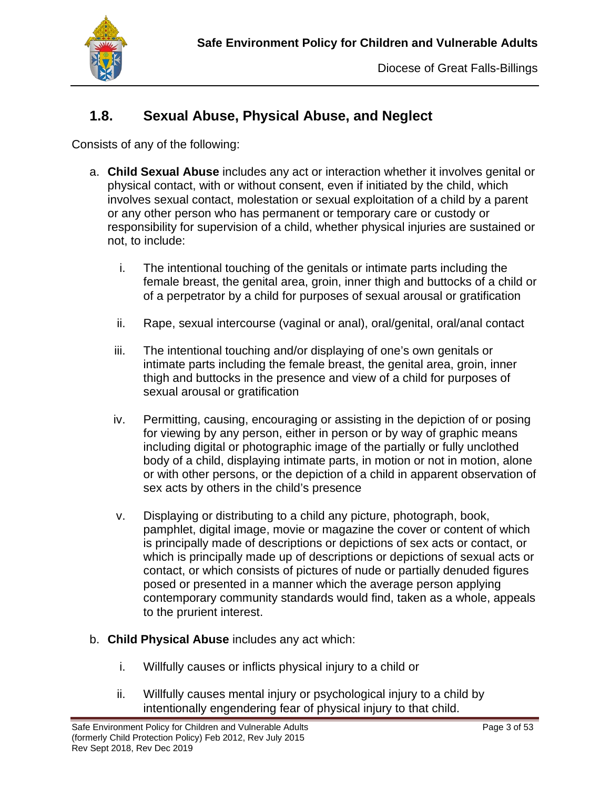

## **1.8. Sexual Abuse, Physical Abuse, and Neglect**

Consists of any of the following:

- a. **Child Sexual Abuse** includes any act or interaction whether it involves genital or physical contact, with or without consent, even if initiated by the child, which involves sexual contact, molestation or sexual exploitation of a child by a parent or any other person who has permanent or temporary care or custody or responsibility for supervision of a child, whether physical injuries are sustained or not, to include:
	- i. The intentional touching of the genitals or intimate parts including the female breast, the genital area, groin, inner thigh and buttocks of a child or of a perpetrator by a child for purposes of sexual arousal or gratification
	- ii. Rape, sexual intercourse (vaginal or anal), oral/genital, oral/anal contact
	- iii. The intentional touching and/or displaying of one's own genitals or intimate parts including the female breast, the genital area, groin, inner thigh and buttocks in the presence and view of a child for purposes of sexual arousal or gratification
	- iv. Permitting, causing, encouraging or assisting in the depiction of or posing for viewing by any person, either in person or by way of graphic means including digital or photographic image of the partially or fully unclothed body of a child, displaying intimate parts, in motion or not in motion, alone or with other persons, or the depiction of a child in apparent observation of sex acts by others in the child's presence
	- v. Displaying or distributing to a child any picture, photograph, book, pamphlet, digital image, movie or magazine the cover or content of which is principally made of descriptions or depictions of sex acts or contact, or which is principally made up of descriptions or depictions of sexual acts or contact, or which consists of pictures of nude or partially denuded figures posed or presented in a manner which the average person applying contemporary community standards would find, taken as a whole, appeals to the prurient interest.
- b. **Child Physical Abuse** includes any act which:
	- i. Willfully causes or inflicts physical injury to a child or
	- ii. Willfully causes mental injury or psychological injury to a child by intentionally engendering fear of physical injury to that child.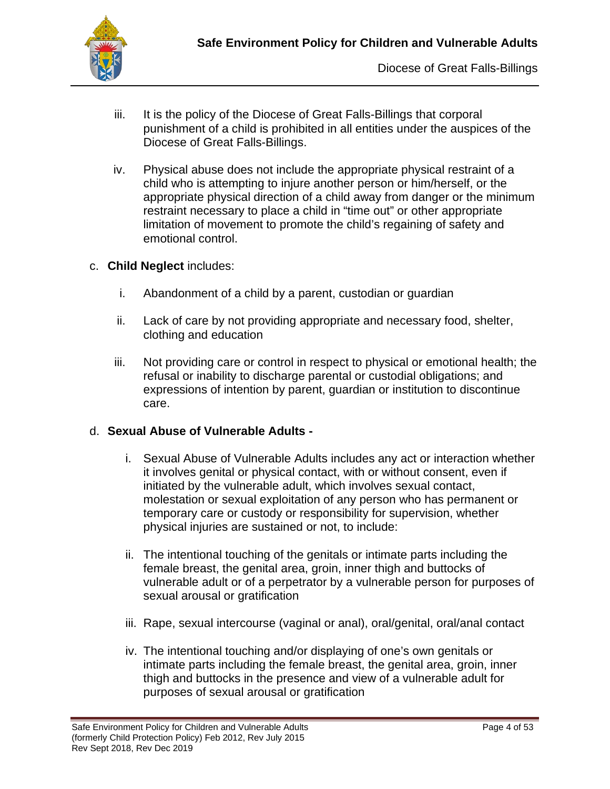

- iii. It is the policy of the Diocese of Great Falls-Billings that corporal punishment of a child is prohibited in all entities under the auspices of the Diocese of Great Falls-Billings.
- iv. Physical abuse does not include the appropriate physical restraint of a child who is attempting to injure another person or him/herself, or the appropriate physical direction of a child away from danger or the minimum restraint necessary to place a child in "time out" or other appropriate limitation of movement to promote the child's regaining of safety and emotional control.
- c. **Child Neglect** includes:
	- i. Abandonment of a child by a parent, custodian or guardian
	- ii. Lack of care by not providing appropriate and necessary food, shelter, clothing and education
	- iii. Not providing care or control in respect to physical or emotional health; the refusal or inability to discharge parental or custodial obligations; and expressions of intention by parent, guardian or institution to discontinue care.

#### d. **Sexual Abuse of Vulnerable Adults -**

- i. Sexual Abuse of Vulnerable Adults includes any act or interaction whether it involves genital or physical contact, with or without consent, even if initiated by the vulnerable adult, which involves sexual contact, molestation or sexual exploitation of any person who has permanent or temporary care or custody or responsibility for supervision, whether physical injuries are sustained or not, to include:
- ii. The intentional touching of the genitals or intimate parts including the female breast, the genital area, groin, inner thigh and buttocks of vulnerable adult or of a perpetrator by a vulnerable person for purposes of sexual arousal or gratification
- iii. Rape, sexual intercourse (vaginal or anal), oral/genital, oral/anal contact
- iv. The intentional touching and/or displaying of one's own genitals or intimate parts including the female breast, the genital area, groin, inner thigh and buttocks in the presence and view of a vulnerable adult for purposes of sexual arousal or gratification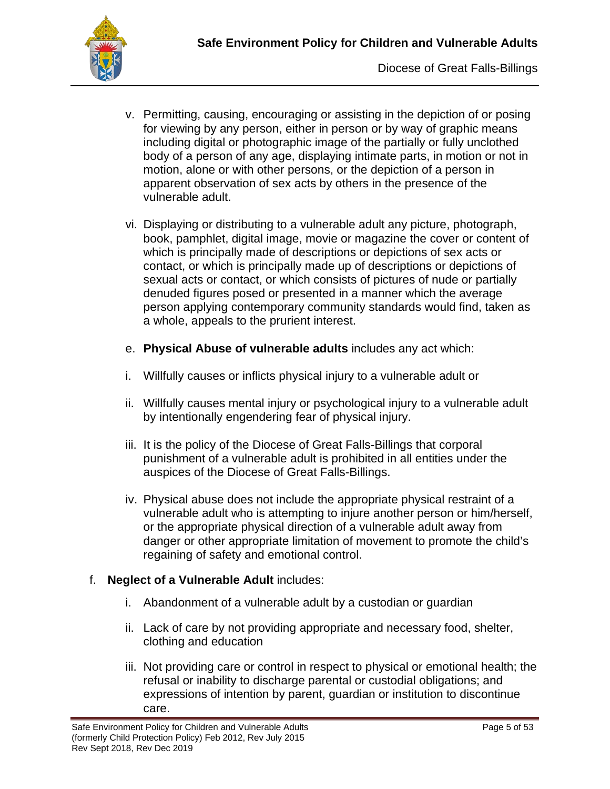

- v. Permitting, causing, encouraging or assisting in the depiction of or posing for viewing by any person, either in person or by way of graphic means including digital or photographic image of the partially or fully unclothed body of a person of any age, displaying intimate parts, in motion or not in motion, alone or with other persons, or the depiction of a person in apparent observation of sex acts by others in the presence of the vulnerable adult.
- vi. Displaying or distributing to a vulnerable adult any picture, photograph, book, pamphlet, digital image, movie or magazine the cover or content of which is principally made of descriptions or depictions of sex acts or contact, or which is principally made up of descriptions or depictions of sexual acts or contact, or which consists of pictures of nude or partially denuded figures posed or presented in a manner which the average person applying contemporary community standards would find, taken as a whole, appeals to the prurient interest.
- e. **Physical Abuse of vulnerable adults** includes any act which:
- i. Willfully causes or inflicts physical injury to a vulnerable adult or
- ii. Willfully causes mental injury or psychological injury to a vulnerable adult by intentionally engendering fear of physical injury.
- iii. It is the policy of the Diocese of Great Falls-Billings that corporal punishment of a vulnerable adult is prohibited in all entities under the auspices of the Diocese of Great Falls-Billings.
- iv. Physical abuse does not include the appropriate physical restraint of a vulnerable adult who is attempting to injure another person or him/herself, or the appropriate physical direction of a vulnerable adult away from danger or other appropriate limitation of movement to promote the child's regaining of safety and emotional control.

#### f. **Neglect of a Vulnerable Adult** includes:

- i. Abandonment of a vulnerable adult by a custodian or guardian
- ii. Lack of care by not providing appropriate and necessary food, shelter, clothing and education
- iii. Not providing care or control in respect to physical or emotional health; the refusal or inability to discharge parental or custodial obligations; and expressions of intention by parent, guardian or institution to discontinue care.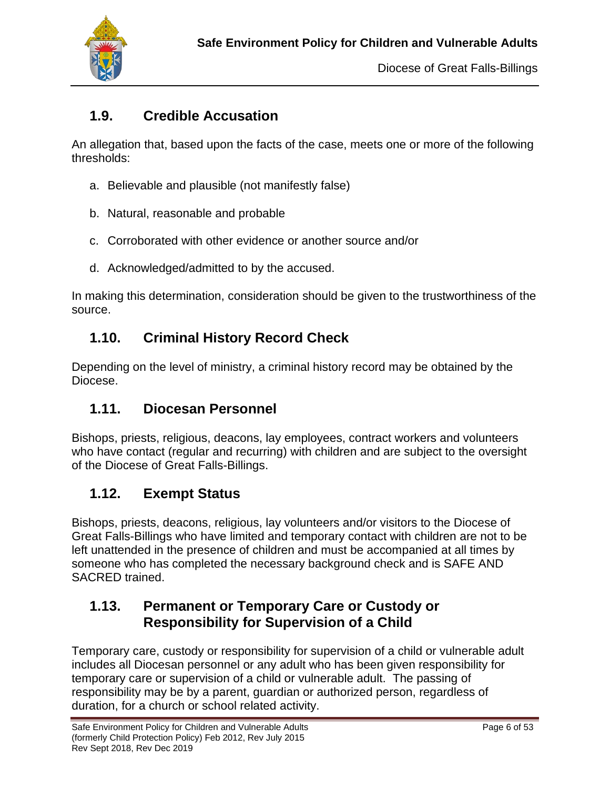

## **1.9. Credible Accusation**

An allegation that, based upon the facts of the case, meets one or more of the following thresholds:

- a. Believable and plausible (not manifestly false)
- b. Natural, reasonable and probable
- c. Corroborated with other evidence or another source and/or
- d. Acknowledged/admitted to by the accused.

In making this determination, consideration should be given to the trustworthiness of the source.

## **1.10. Criminal History Record Check**

Depending on the level of ministry, a criminal history record may be obtained by the Diocese.

## **1.11. Diocesan Personnel**

Bishops, priests, religious, deacons, lay employees, contract workers and volunteers who have contact (regular and recurring) with children and are subject to the oversight of the Diocese of Great Falls-Billings.

## **1.12. Exempt Status**

Bishops, priests, deacons, religious, lay volunteers and/or visitors to the Diocese of Great Falls-Billings who have limited and temporary contact with children are not to be left unattended in the presence of children and must be accompanied at all times by someone who has completed the necessary background check and is SAFE AND SACRED trained.

## **1.13. Permanent or Temporary Care or Custody or Responsibility for Supervision of a Child**

Temporary care, custody or responsibility for supervision of a child or vulnerable adult includes all Diocesan personnel or any adult who has been given responsibility for temporary care or supervision of a child or vulnerable adult. The passing of responsibility may be by a parent, guardian or authorized person, regardless of duration, for a church or school related activity.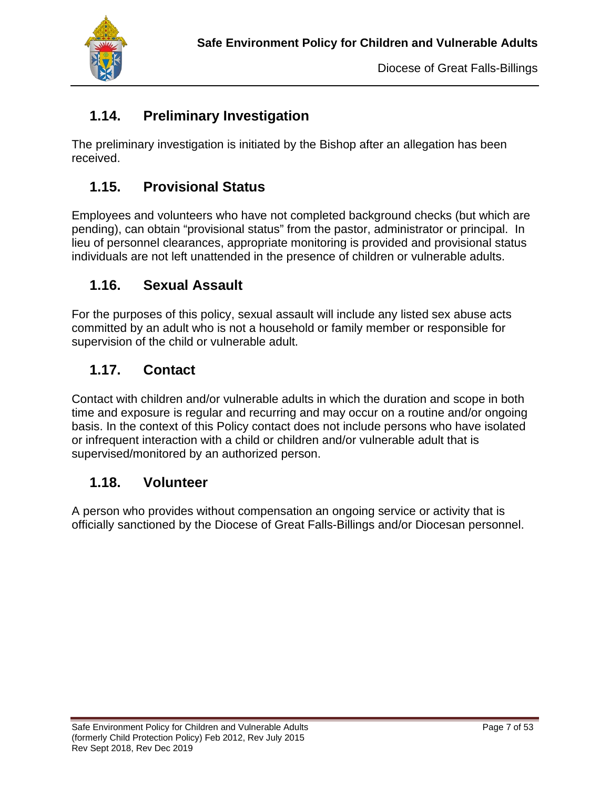

## **1.14. Preliminary Investigation**

The preliminary investigation is initiated by the Bishop after an allegation has been received.

## **1.15. Provisional Status**

Employees and volunteers who have not completed background checks (but which are pending), can obtain "provisional status" from the pastor, administrator or principal. In lieu of personnel clearances, appropriate monitoring is provided and provisional status individuals are not left unattended in the presence of children or vulnerable adults.

## **1.16. Sexual Assault**

For the purposes of this policy, sexual assault will include any listed sex abuse acts committed by an adult who is not a household or family member or responsible for supervision of the child or vulnerable adult.

## **1.17. Contact**

Contact with children and/or vulnerable adults in which the duration and scope in both time and exposure is regular and recurring and may occur on a routine and/or ongoing basis. In the context of this Policy contact does not include persons who have isolated or infrequent interaction with a child or children and/or vulnerable adult that is supervised/monitored by an authorized person.

#### **1.18. Volunteer**

A person who provides without compensation an ongoing service or activity that is officially sanctioned by the Diocese of Great Falls-Billings and/or Diocesan personnel.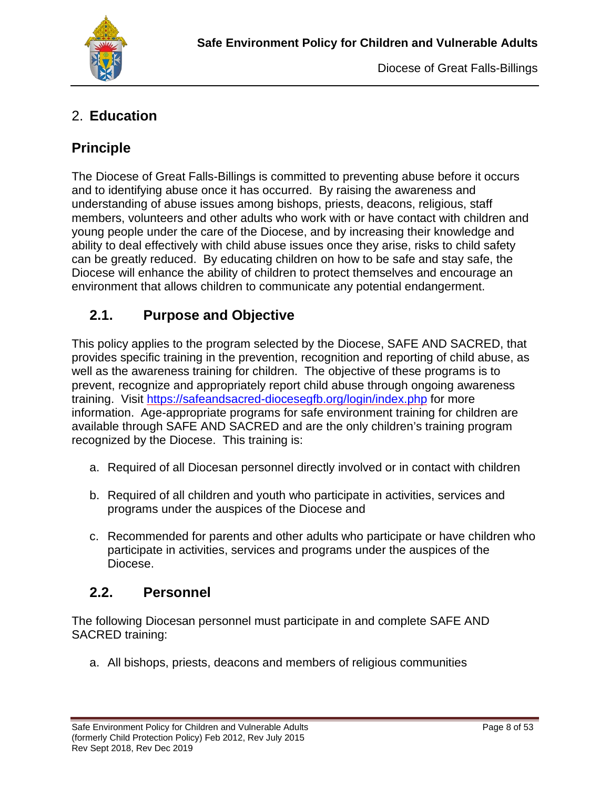

## 2. **Education**

## **Principle**

The Diocese of Great Falls-Billings is committed to preventing abuse before it occurs and to identifying abuse once it has occurred. By raising the awareness and understanding of abuse issues among bishops, priests, deacons, religious, staff members, volunteers and other adults who work with or have contact with children and young people under the care of the Diocese, and by increasing their knowledge and ability to deal effectively with child abuse issues once they arise, risks to child safety can be greatly reduced. By educating children on how to be safe and stay safe, the Diocese will enhance the ability of children to protect themselves and encourage an environment that allows children to communicate any potential endangerment.

## **2.1. Purpose and Objective**

This policy applies to the program selected by the Diocese, SAFE AND SACRED, that provides specific training in the prevention, recognition and reporting of child abuse, as well as the awareness training for children. The objective of these programs is to prevent, recognize and appropriately report child abuse through ongoing awareness training. Visit <https://safeandsacred-diocesegfb.org/login/index.php> for more information. Age-appropriate programs for safe environment training for children are available through SAFE AND SACRED and are the only children's training program recognized by the Diocese. This training is:

- a. Required of all Diocesan personnel directly involved or in contact with children
- b. Required of all children and youth who participate in activities, services and programs under the auspices of the Diocese and
- c. Recommended for parents and other adults who participate or have children who participate in activities, services and programs under the auspices of the Diocese.

#### **2.2. Personnel**

The following Diocesan personnel must participate in and complete SAFE AND SACRED training:

a. All bishops, priests, deacons and members of religious communities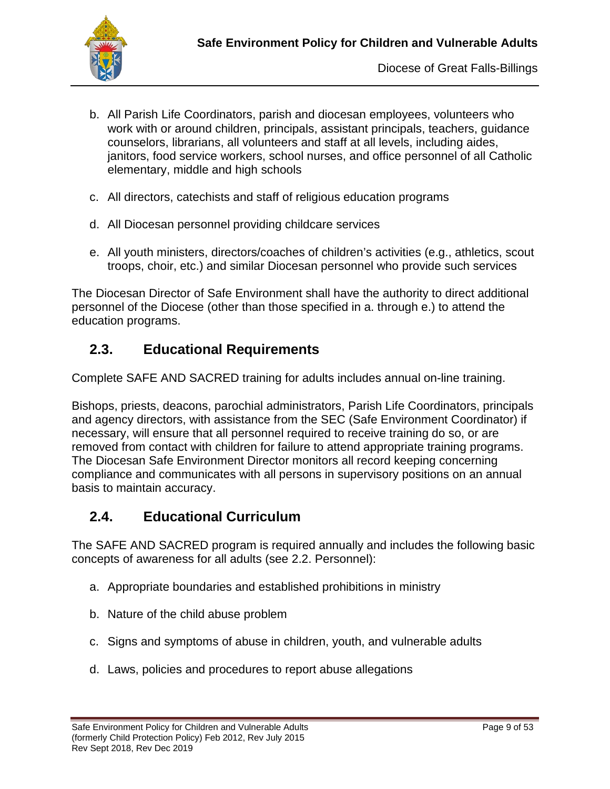

- b. All Parish Life Coordinators, parish and diocesan employees, volunteers who work with or around children, principals, assistant principals, teachers, guidance counselors, librarians, all volunteers and staff at all levels, including aides, janitors, food service workers, school nurses, and office personnel of all Catholic elementary, middle and high schools
- c. All directors, catechists and staff of religious education programs
- d. All Diocesan personnel providing childcare services
- e. All youth ministers, directors/coaches of children's activities (e.g., athletics, scout troops, choir, etc.) and similar Diocesan personnel who provide such services

The Diocesan Director of Safe Environment shall have the authority to direct additional personnel of the Diocese (other than those specified in a. through e.) to attend the education programs.

#### **2.3. Educational Requirements**

Complete SAFE AND SACRED training for adults includes annual on-line training.

Bishops, priests, deacons, parochial administrators, Parish Life Coordinators, principals and agency directors, with assistance from the SEC (Safe Environment Coordinator) if necessary, will ensure that all personnel required to receive training do so, or are removed from contact with children for failure to attend appropriate training programs. The Diocesan Safe Environment Director monitors all record keeping concerning compliance and communicates with all persons in supervisory positions on an annual basis to maintain accuracy.

#### **2.4. Educational Curriculum**

The SAFE AND SACRED program is required annually and includes the following basic concepts of awareness for all adults (see 2.2. Personnel):

- a. Appropriate boundaries and established prohibitions in ministry
- b. Nature of the child abuse problem
- c. Signs and symptoms of abuse in children, youth, and vulnerable adults
- d. Laws, policies and procedures to report abuse allegations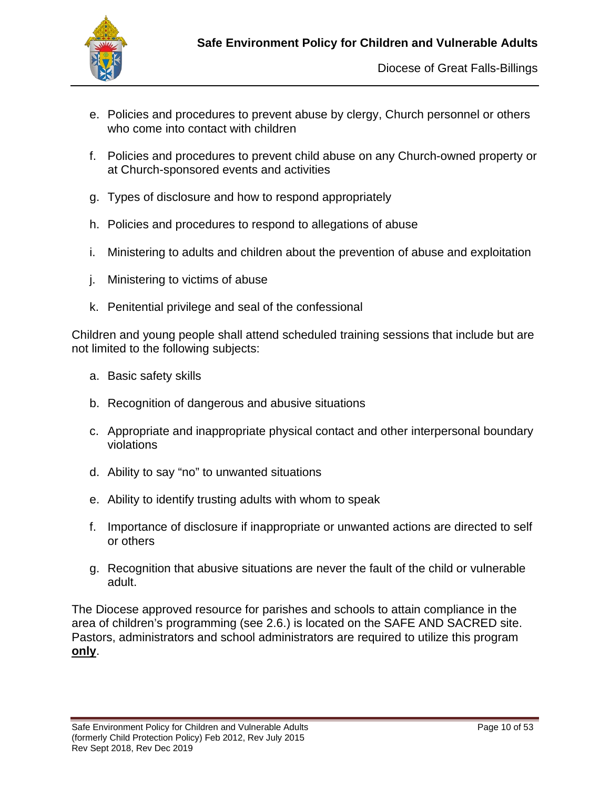

- e. Policies and procedures to prevent abuse by clergy, Church personnel or others who come into contact with children
- f. Policies and procedures to prevent child abuse on any Church-owned property or at Church-sponsored events and activities
- g. Types of disclosure and how to respond appropriately
- h. Policies and procedures to respond to allegations of abuse
- i. Ministering to adults and children about the prevention of abuse and exploitation
- j. Ministering to victims of abuse
- k. Penitential privilege and seal of the confessional

Children and young people shall attend scheduled training sessions that include but are not limited to the following subjects:

- a. Basic safety skills
- b. Recognition of dangerous and abusive situations
- c. Appropriate and inappropriate physical contact and other interpersonal boundary violations
- d. Ability to say "no" to unwanted situations
- e. Ability to identify trusting adults with whom to speak
- f. Importance of disclosure if inappropriate or unwanted actions are directed to self or others
- g. Recognition that abusive situations are never the fault of the child or vulnerable adult.

The Diocese approved resource for parishes and schools to attain compliance in the area of children's programming (see 2.6.) is located on the SAFE AND SACRED site. Pastors, administrators and school administrators are required to utilize this program **only**.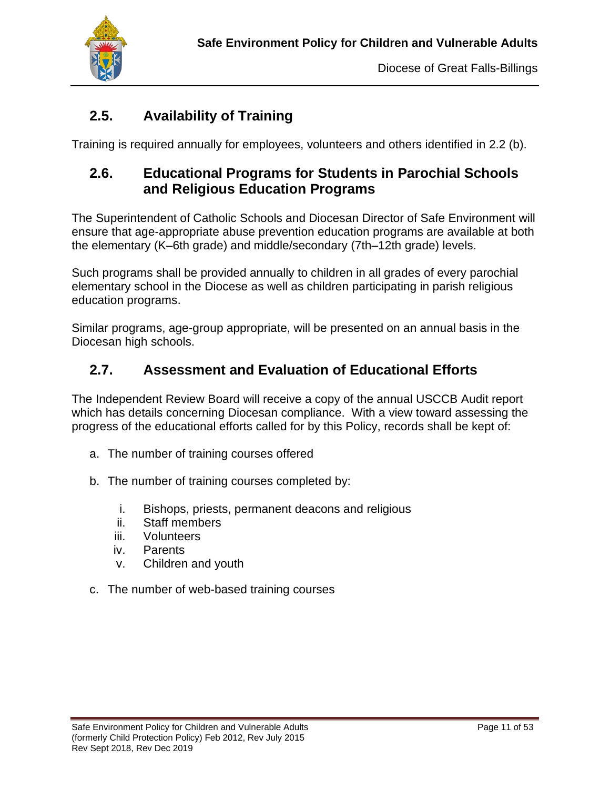

## **2.5. Availability of Training**

Training is required annually for employees, volunteers and others identified in 2.2 (b).

## **2.6. Educational Programs for Students in Parochial Schools and Religious Education Programs**

The Superintendent of Catholic Schools and Diocesan Director of Safe Environment will ensure that age-appropriate abuse prevention education programs are available at both the elementary (K–6th grade) and middle/secondary (7th–12th grade) levels.

Such programs shall be provided annually to children in all grades of every parochial elementary school in the Diocese as well as children participating in parish religious education programs.

Similar programs, age-group appropriate, will be presented on an annual basis in the Diocesan high schools.

## **2.7. Assessment and Evaluation of Educational Efforts**

The Independent Review Board will receive a copy of the annual USCCB Audit report which has details concerning Diocesan compliance. With a view toward assessing the progress of the educational efforts called for by this Policy, records shall be kept of:

- a. The number of training courses offered
- b. The number of training courses completed by:
	- i. Bishops, priests, permanent deacons and religious
	- ii. Staff members
	- iii. Volunteers
	- iv. Parents
	- v. Children and youth
- c. The number of web-based training courses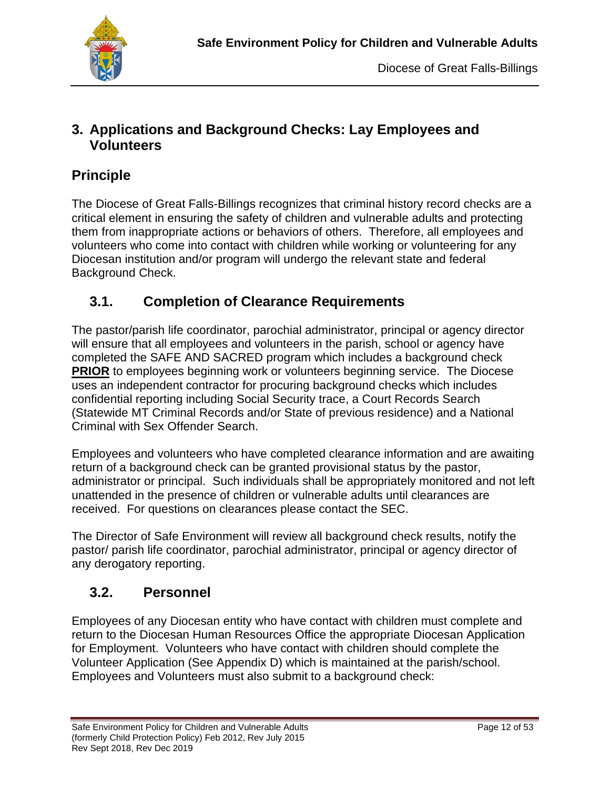

### **3. Applications and Background Checks: Lay Employees and Volunteers**

## **Principle**

The Diocese of Great Falls-Billings recognizes that criminal history record checks are a critical element in ensuring the safety of children and vulnerable adults and protecting them from inappropriate actions or behaviors of others. Therefore, all employees and volunteers who come into contact with children while working or volunteering for any Diocesan institution and/or program will undergo the relevant state and federal Background Check.

## **3.1. Completion of Clearance Requirements**

The pastor/parish life coordinator, parochial administrator, principal or agency director will ensure that all employees and volunteers in the parish, school or agency have completed the SAFE AND SACRED program which includes a background check **PRIOR** to employees beginning work or volunteers beginning service. The Diocese uses an independent contractor for procuring background checks which includes confidential reporting including Social Security trace, a Court Records Search (Statewide MT Criminal Records and/or State of previous residence) and a National Criminal with Sex Offender Search.

Employees and volunteers who have completed clearance information and are awaiting return of a background check can be granted provisional status by the pastor, administrator or principal. Such individuals shall be appropriately monitored and not left unattended in the presence of children or vulnerable adults until clearances are received. For questions on clearances please contact the SEC.

The Director of Safe Environment will review all background check results, notify the pastor/ parish life coordinator, parochial administrator, principal or agency director of any derogatory reporting.

## **3.2. Personnel**

Employees of any Diocesan entity who have contact with children must complete and return to the Diocesan Human Resources Office the appropriate Diocesan Application for Employment. Volunteers who have contact with children should complete the Volunteer Application (See Appendix D) which is maintained at the parish/school. Employees and Volunteers must also submit to a background check: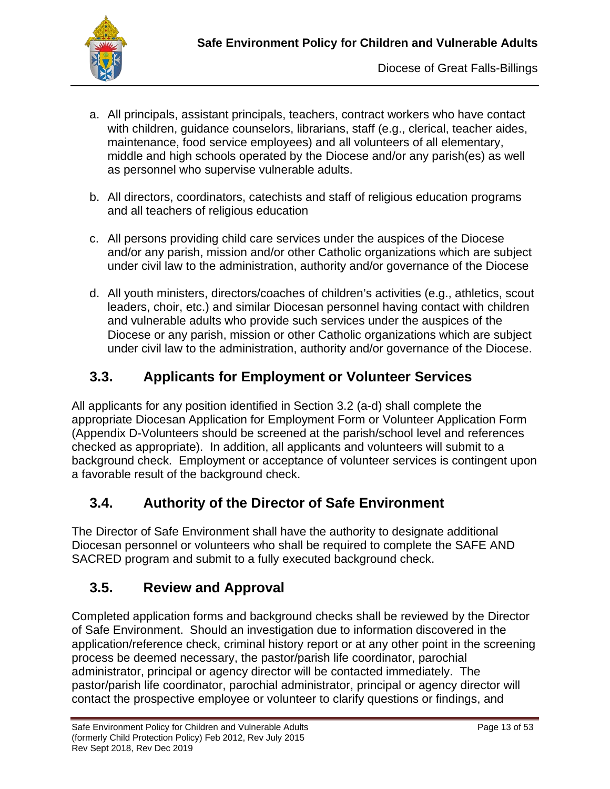

- a. All principals, assistant principals, teachers, contract workers who have contact with children, guidance counselors, librarians, staff (e.g., clerical, teacher aides, maintenance, food service employees) and all volunteers of all elementary, middle and high schools operated by the Diocese and/or any parish(es) as well as personnel who supervise vulnerable adults.
- b. All directors, coordinators, catechists and staff of religious education programs and all teachers of religious education
- c. All persons providing child care services under the auspices of the Diocese and/or any parish, mission and/or other Catholic organizations which are subject under civil law to the administration, authority and/or governance of the Diocese
- d. All youth ministers, directors/coaches of children's activities (e.g., athletics, scout leaders, choir, etc.) and similar Diocesan personnel having contact with children and vulnerable adults who provide such services under the auspices of the Diocese or any parish, mission or other Catholic organizations which are subject under civil law to the administration, authority and/or governance of the Diocese.

# **3.3. Applicants for Employment or Volunteer Services**

All applicants for any position identified in Section 3.2 (a-d) shall complete the appropriate Diocesan Application for Employment Form or Volunteer Application Form (Appendix D-Volunteers should be screened at the parish/school level and references checked as appropriate). In addition, all applicants and volunteers will submit to a background check. Employment or acceptance of volunteer services is contingent upon a favorable result of the background check.

## **3.4. Authority of the Director of Safe Environment**

The Director of Safe Environment shall have the authority to designate additional Diocesan personnel or volunteers who shall be required to complete the SAFE AND SACRED program and submit to a fully executed background check.

## **3.5. Review and Approval**

Completed application forms and background checks shall be reviewed by the Director of Safe Environment. Should an investigation due to information discovered in the application/reference check, criminal history report or at any other point in the screening process be deemed necessary, the pastor/parish life coordinator, parochial administrator, principal or agency director will be contacted immediately. The pastor/parish life coordinator, parochial administrator, principal or agency director will contact the prospective employee or volunteer to clarify questions or findings, and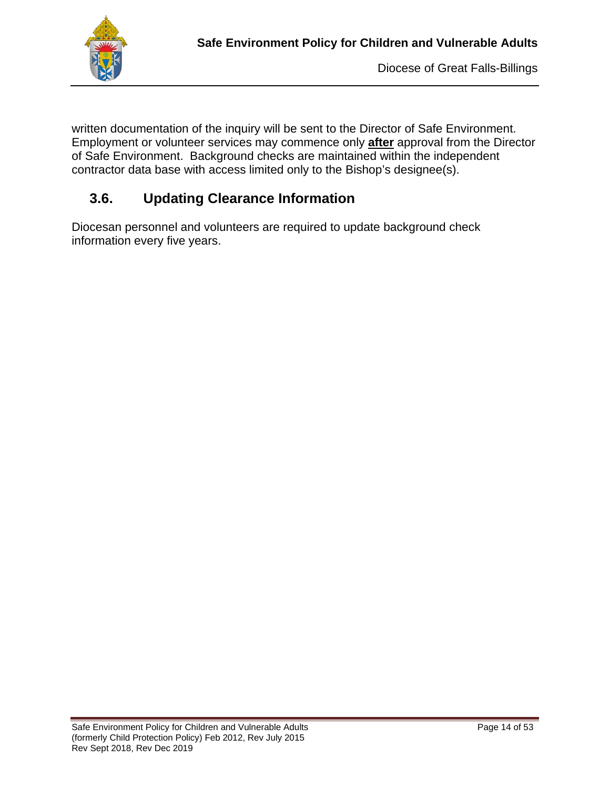

written documentation of the inquiry will be sent to the Director of Safe Environment. Employment or volunteer services may commence only **after** approval from the Director of Safe Environment. Background checks are maintained within the independent contractor data base with access limited only to the Bishop's designee(s).

## **3.6. Updating Clearance Information**

Diocesan personnel and volunteers are required to update background check information every five years.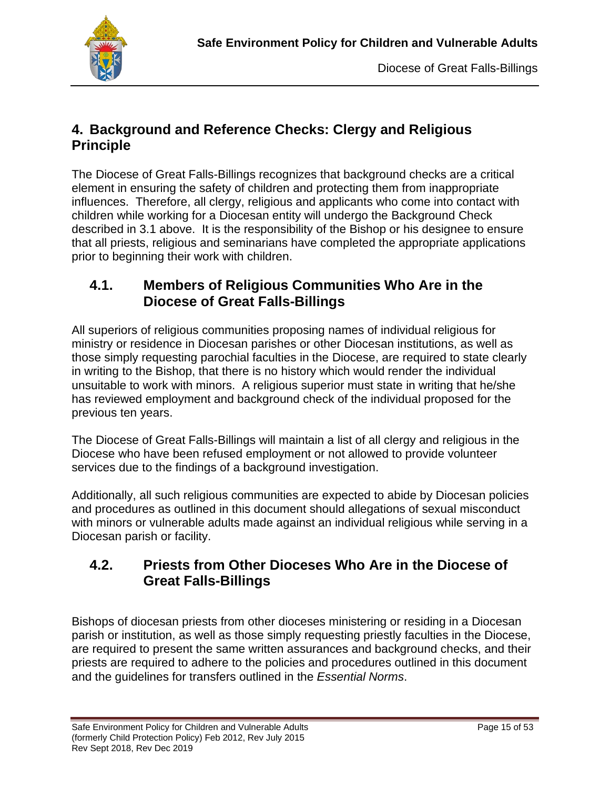

## **4. Background and Reference Checks: Clergy and Religious Principle**

The Diocese of Great Falls-Billings recognizes that background checks are a critical element in ensuring the safety of children and protecting them from inappropriate influences. Therefore, all clergy, religious and applicants who come into contact with children while working for a Diocesan entity will undergo the Background Check described in 3.1 above. It is the responsibility of the Bishop or his designee to ensure that all priests, religious and seminarians have completed the appropriate applications prior to beginning their work with children.

## **4.1. Members of Religious Communities Who Are in the Diocese of Great Falls-Billings**

All superiors of religious communities proposing names of individual religious for ministry or residence in Diocesan parishes or other Diocesan institutions, as well as those simply requesting parochial faculties in the Diocese, are required to state clearly in writing to the Bishop, that there is no history which would render the individual unsuitable to work with minors. A religious superior must state in writing that he/she has reviewed employment and background check of the individual proposed for the previous ten years.

The Diocese of Great Falls-Billings will maintain a list of all clergy and religious in the Diocese who have been refused employment or not allowed to provide volunteer services due to the findings of a background investigation.

Additionally, all such religious communities are expected to abide by Diocesan policies and procedures as outlined in this document should allegations of sexual misconduct with minors or vulnerable adults made against an individual religious while serving in a Diocesan parish or facility.

## **4.2. Priests from Other Dioceses Who Are in the Diocese of Great Falls-Billings**

Bishops of diocesan priests from other dioceses ministering or residing in a Diocesan parish or institution, as well as those simply requesting priestly faculties in the Diocese, are required to present the same written assurances and background checks, and their priests are required to adhere to the policies and procedures outlined in this document and the guidelines for transfers outlined in the *Essential Norms*.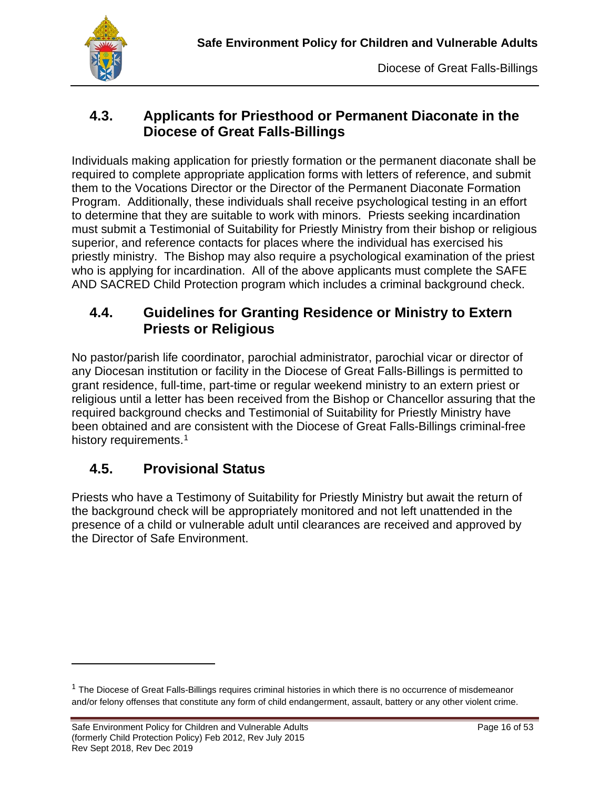## **4.3. Applicants for Priesthood or Permanent Diaconate in the Diocese of Great Falls-Billings**

Individuals making application for priestly formation or the permanent diaconate shall be required to complete appropriate application forms with letters of reference, and submit them to the Vocations Director or the Director of the Permanent Diaconate Formation Program. Additionally, these individuals shall receive psychological testing in an effort to determine that they are suitable to work with minors. Priests seeking incardination must submit a Testimonial of Suitability for Priestly Ministry from their bishop or religious superior, and reference contacts for places where the individual has exercised his priestly ministry. The Bishop may also require a psychological examination of the priest who is applying for incardination. All of the above applicants must complete the SAFE AND SACRED Child Protection program which includes a criminal background check.

## **4.4. Guidelines for Granting Residence or Ministry to Extern Priests or Religious**

No pastor/parish life coordinator, parochial administrator, parochial vicar or director of any Diocesan institution or facility in the Diocese of Great Falls-Billings is permitted to grant residence, full-time, part-time or regular weekend ministry to an extern priest or religious until a letter has been received from the Bishop or Chancellor assuring that the required background checks and Testimonial of Suitability for Priestly Ministry have been obtained and are consistent with the Diocese of Great Falls-Billings criminal-free history requirements.<sup>[1](#page-16-0)</sup>

## **4.5. Provisional Status**

Priests who have a Testimony of Suitability for Priestly Ministry but await the return of the background check will be appropriately monitored and not left unattended in the presence of a child or vulnerable adult until clearances are received and approved by the Director of Safe Environment.

<span id="page-16-0"></span> $1$  The Diocese of Great Falls-Billings requires criminal histories in which there is no occurrence of misdemeanor and/or felony offenses that constitute any form of child endangerment, assault, battery or any other violent crime.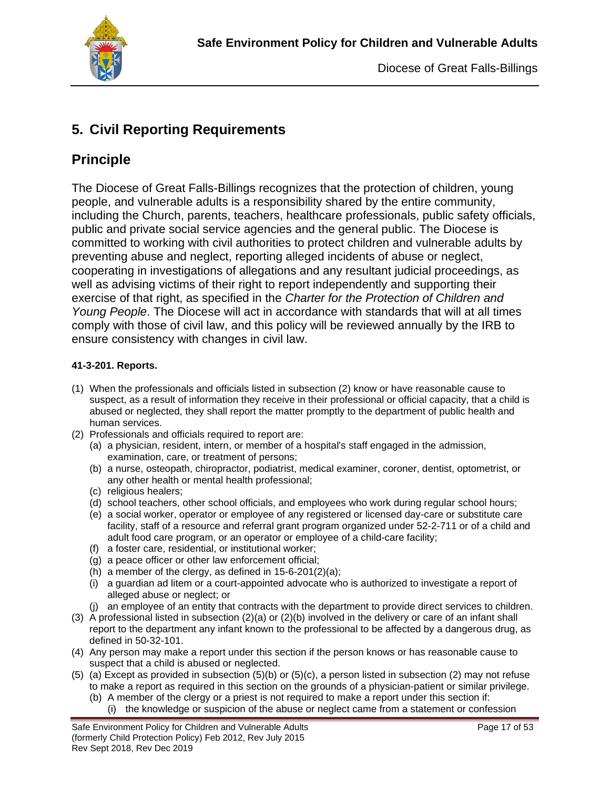

## **5. Civil Reporting Requirements**

# **Principle**

The Diocese of Great Falls-Billings recognizes that the protection of children, young people, and vulnerable adults is a responsibility shared by the entire community, including the Church, parents, teachers, healthcare professionals, public safety officials, public and private social service agencies and the general public. The Diocese is committed to working with civil authorities to protect children and vulnerable adults by preventing abuse and neglect, reporting alleged incidents of abuse or neglect, cooperating in investigations of allegations and any resultant judicial proceedings, as well as advising victims of their right to report independently and supporting their exercise of that right, as specified in the *Charter for the Protection of Children and Young People*. The Diocese will act in accordance with standards that will at all times comply with those of civil law, and this policy will be reviewed annually by the IRB to ensure consistency with changes in civil law.

#### **41-3-201. Reports.**

- (1) When the professionals and officials listed in subsection (2) know or have reasonable cause to suspect, as a result of information they receive in their professional or official capacity, that a child is abused or neglected, they shall report the matter promptly to the department of public health and human services.
- (2) Professionals and officials required to report are:
	- (a) a physician, resident, intern, or member of a hospital's staff engaged in the admission, examination, care, or treatment of persons;
	- (b) a nurse, osteopath, chiropractor, podiatrist, medical examiner, coroner, dentist, optometrist, or any other health or mental health professional;
	- (c) religious healers;
	- (d) school teachers, other school officials, and employees who work during regular school hours;
	- (e) a social worker, operator or employee of any registered or licensed day-care or substitute care facility, staff of a resource and referral grant program organized under 52-2-711 or of a child and adult food care program, or an operator or employee of a child-care facility;
	- (f) a foster care, residential, or institutional worker;
	- (g) a peace officer or other law enforcement official;
	- (h) a member of the clergy, as defined in  $15-6-201(2)(a)$ ;
	- (i) a guardian ad litem or a court-appointed advocate who is authorized to investigate a report of alleged abuse or neglect; or
	- (j) an employee of an entity that contracts with the department to provide direct services to children.
- (3) A professional listed in subsection  $(2)(a)$  or  $(2)(b)$  involved in the delivery or care of an infant shall report to the department any infant known to the professional to be affected by a dangerous drug, as defined in 50-32-101.
- (4) Any person may make a report under this section if the person knows or has reasonable cause to suspect that a child is abused or neglected.
- (5) (a) Except as provided in subsection (5)(b) or (5)(c), a person listed in subsection (2) may not refuse to make a report as required in this section on the grounds of a physician-patient or similar privilege.
	- (b) A member of the clergy or a priest is not required to make a report under this section if:
		- (i) the knowledge or suspicion of the abuse or neglect came from a statement or confession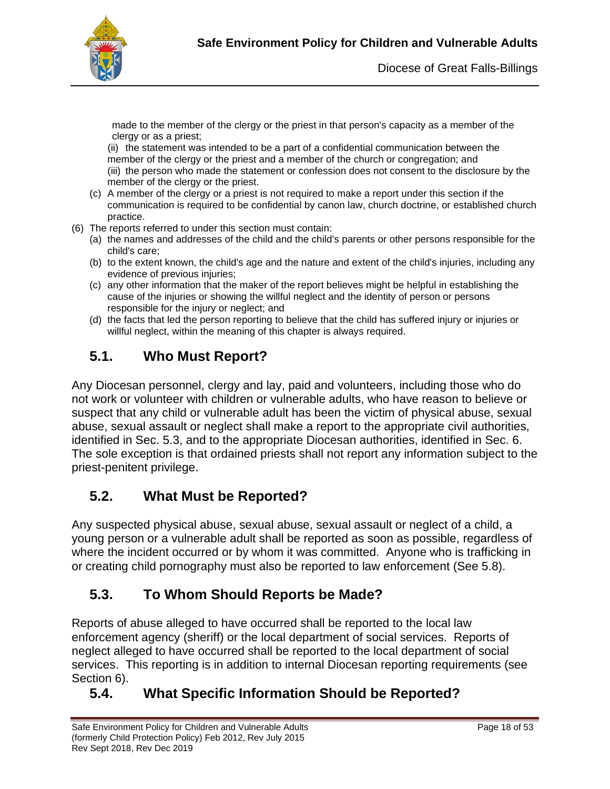

made to the member of the clergy or the priest in that person's capacity as a member of the clergy or as a priest;

(ii) the statement was intended to be a part of a confidential communication between the member of the clergy or the priest and a member of the church or congregation; and (iii) the person who made the statement or confession does not consent to the disclosure by the member of the clergy or the priest.

- (c) A member of the clergy or a priest is not required to make a report under this section if the communication is required to be confidential by canon law, church doctrine, or established church practice.
- (6) The reports referred to under this section must contain:
	- (a) the names and addresses of the child and the child's parents or other persons responsible for the child's care;
	- (b) to the extent known, the child's age and the nature and extent of the child's injuries, including any evidence of previous injuries;
	- (c) any other information that the maker of the report believes might be helpful in establishing the cause of the injuries or showing the willful neglect and the identity of person or persons responsible for the injury or neglect; and
	- (d) the facts that led the person reporting to believe that the child has suffered injury or injuries or willful neglect, within the meaning of this chapter is always required.

# **5.1. Who Must Report?**

Any Diocesan personnel, clergy and lay, paid and volunteers, including those who do not work or volunteer with children or vulnerable adults, who have reason to believe or suspect that any child or vulnerable adult has been the victim of physical abuse, sexual abuse, sexual assault or neglect shall make a report to the appropriate civil authorities, identified in Sec. 5.3, and to the appropriate Diocesan authorities, identified in Sec. 6. The sole exception is that ordained priests shall not report any information subject to the priest-penitent privilege.

## **5.2. What Must be Reported?**

Any suspected physical abuse, sexual abuse, sexual assault or neglect of a child, a young person or a vulnerable adult shall be reported as soon as possible, regardless of where the incident occurred or by whom it was committed. Anyone who is trafficking in or creating child pornography must also be reported to law enforcement (See 5.8).

## **5.3. To Whom Should Reports be Made?**

Reports of abuse alleged to have occurred shall be reported to the local law enforcement agency (sheriff) or the local department of social services. Reports of neglect alleged to have occurred shall be reported to the local department of social services. This reporting is in addition to internal Diocesan reporting requirements (see Section 6).

## **5.4. What Specific Information Should be Reported?**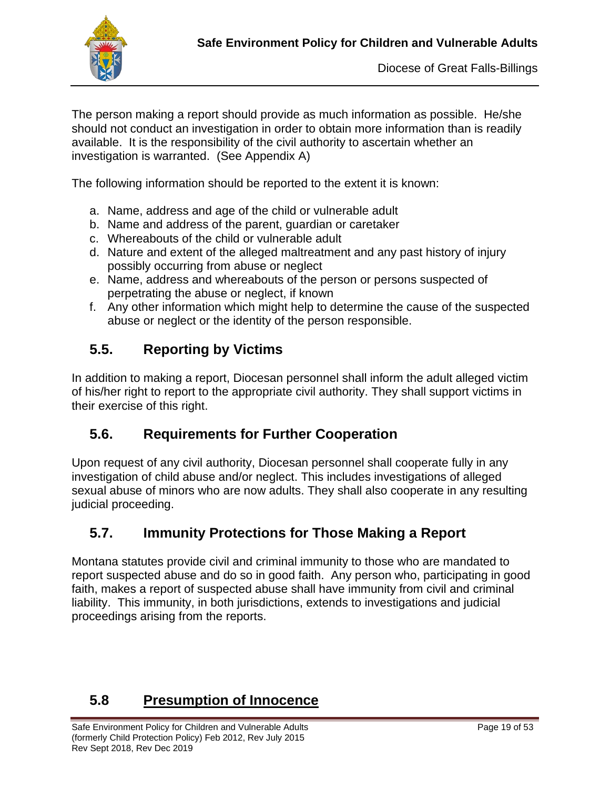

The person making a report should provide as much information as possible. He/she should not conduct an investigation in order to obtain more information than is readily available. It is the responsibility of the civil authority to ascertain whether an investigation is warranted. (See Appendix A)

The following information should be reported to the extent it is known:

- a. Name, address and age of the child or vulnerable adult
- b. Name and address of the parent, guardian or caretaker
- c. Whereabouts of the child or vulnerable adult
- d. Nature and extent of the alleged maltreatment and any past history of injury possibly occurring from abuse or neglect
- e. Name, address and whereabouts of the person or persons suspected of perpetrating the abuse or neglect, if known
- f. Any other information which might help to determine the cause of the suspected abuse or neglect or the identity of the person responsible.

# **5.5. Reporting by Victims**

In addition to making a report, Diocesan personnel shall inform the adult alleged victim of his/her right to report to the appropriate civil authority. They shall support victims in their exercise of this right.

## **5.6. Requirements for Further Cooperation**

Upon request of any civil authority, Diocesan personnel shall cooperate fully in any investigation of child abuse and/or neglect. This includes investigations of alleged sexual abuse of minors who are now adults. They shall also cooperate in any resulting judicial proceeding.

## **5.7. Immunity Protections for Those Making a Report**

Montana statutes provide civil and criminal immunity to those who are mandated to report suspected abuse and do so in good faith. Any person who, participating in good faith, makes a report of suspected abuse shall have immunity from civil and criminal liability. This immunity, in both jurisdictions, extends to investigations and judicial proceedings arising from the reports.

## **5.8 Presumption of Innocence**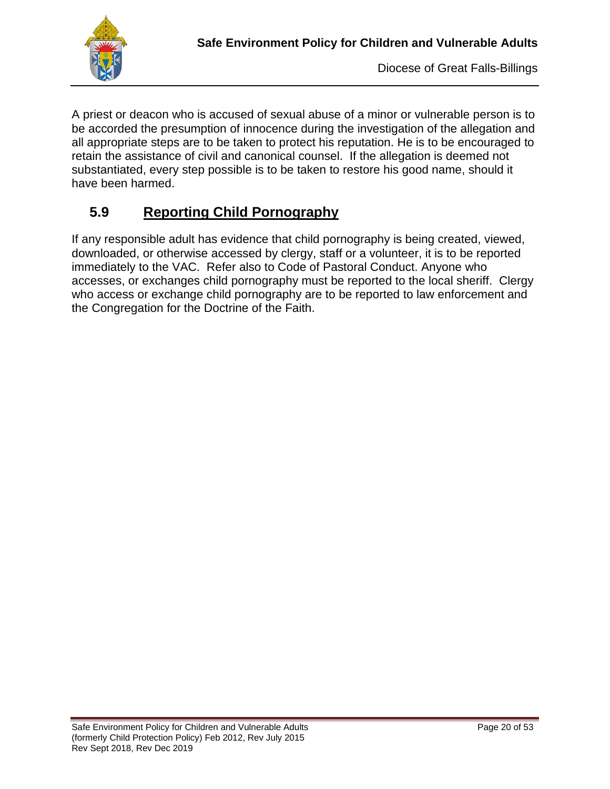

A priest or deacon who is accused of sexual abuse of a minor or vulnerable person is to be accorded the presumption of innocence during the investigation of the allegation and all appropriate steps are to be taken to protect his reputation. He is to be encouraged to retain the assistance of civil and canonical counsel. If the allegation is deemed not substantiated, every step possible is to be taken to restore his good name, should it have been harmed.

## **5.9 Reporting Child Pornography**

If any responsible adult has evidence that child pornography is being created, viewed, downloaded, or otherwise accessed by clergy, staff or a volunteer, it is to be reported immediately to the VAC. Refer also to Code of Pastoral Conduct. Anyone who accesses, or exchanges child pornography must be reported to the local sheriff. Clergy who access or exchange child pornography are to be reported to law enforcement and the Congregation for the Doctrine of the Faith.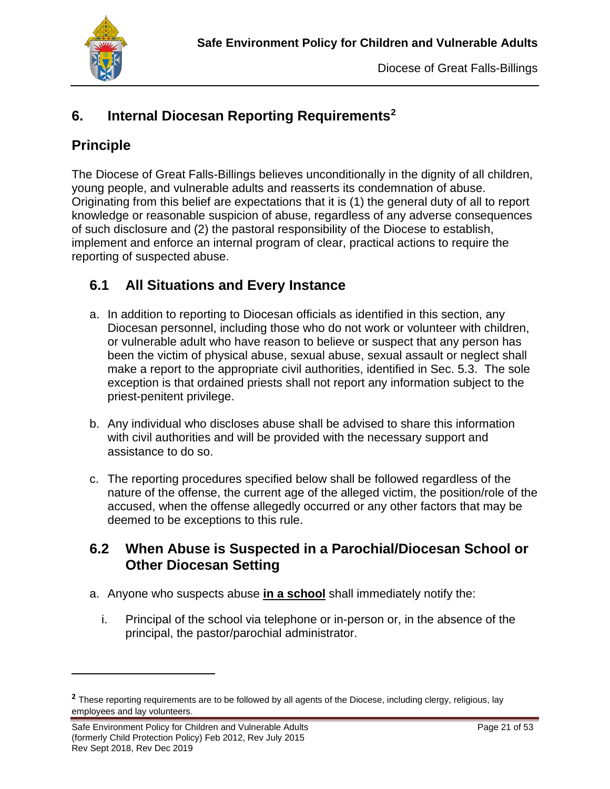

# **6. Internal Diocesan Reporting Requirements[2](#page-21-0)**

## **Principle**

The Diocese of Great Falls-Billings believes unconditionally in the dignity of all children, young people, and vulnerable adults and reasserts its condemnation of abuse. Originating from this belief are expectations that it is (1) the general duty of all to report knowledge or reasonable suspicion of abuse, regardless of any adverse consequences of such disclosure and (2) the pastoral responsibility of the Diocese to establish, implement and enforce an internal program of clear, practical actions to require the reporting of suspected abuse.

## **6.1 All Situations and Every Instance**

- a. In addition to reporting to Diocesan officials as identified in this section, any Diocesan personnel, including those who do not work or volunteer with children, or vulnerable adult who have reason to believe or suspect that any person has been the victim of physical abuse, sexual abuse, sexual assault or neglect shall make a report to the appropriate civil authorities, identified in Sec. 5.3. The sole exception is that ordained priests shall not report any information subject to the priest-penitent privilege.
- b. Any individual who discloses abuse shall be advised to share this information with civil authorities and will be provided with the necessary support and assistance to do so.
- c. The reporting procedures specified below shall be followed regardless of the nature of the offense, the current age of the alleged victim, the position/role of the accused, when the offense allegedly occurred or any other factors that may be deemed to be exceptions to this rule.

## **6.2 When Abuse is Suspected in a Parochial/Diocesan School or Other Diocesan Setting**

- a. Anyone who suspects abuse **in a school** shall immediately notify the:
	- i. Principal of the school via telephone or in-person or, in the absence of the principal, the pastor/parochial administrator.

<span id="page-21-0"></span>**<sup>2</sup>** These reporting requirements are to be followed by all agents of the Diocese, including clergy, religious, lay employees and lay volunteers.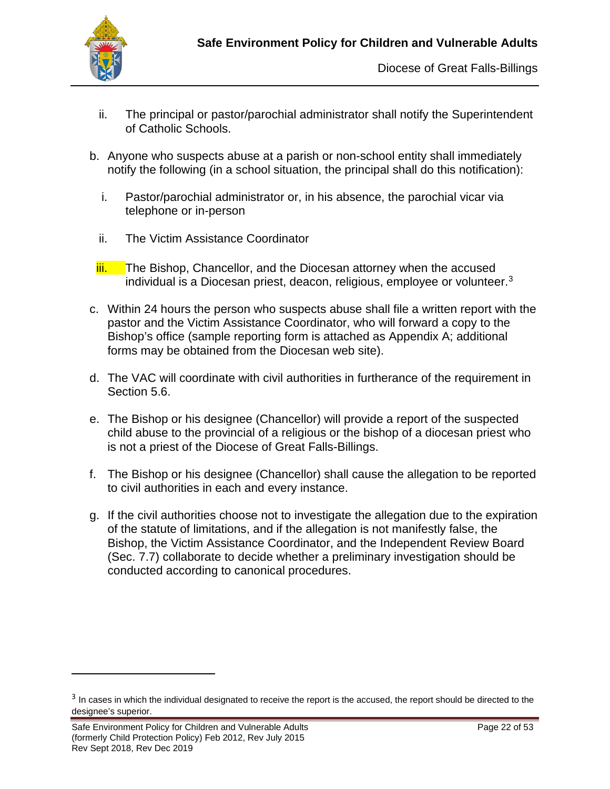

- ii. The principal or pastor/parochial administrator shall notify the Superintendent of Catholic Schools.
- b. Anyone who suspects abuse at a parish or non-school entity shall immediately notify the following (in a school situation, the principal shall do this notification):
	- i. Pastor/parochial administrator or, in his absence, the parochial vicar via telephone or in-person
	- ii. The Victim Assistance Coordinator
- iii. The Bishop, Chancellor, and the Diocesan attorney when the accused individual is a Diocesan priest, deacon, religious, employee or volunteer.[3](#page-22-0)
- c. Within 24 hours the person who suspects abuse shall file a written report with the pastor and the Victim Assistance Coordinator, who will forward a copy to the Bishop's office (sample reporting form is attached as Appendix A; additional forms may be obtained from the Diocesan web site).
- d. The VAC will coordinate with civil authorities in furtherance of the requirement in Section 5.6.
- e. The Bishop or his designee (Chancellor) will provide a report of the suspected child abuse to the provincial of a religious or the bishop of a diocesan priest who is not a priest of the Diocese of Great Falls-Billings.
- f. The Bishop or his designee (Chancellor) shall cause the allegation to be reported to civil authorities in each and every instance.
- g. If the civil authorities choose not to investigate the allegation due to the expiration of the statute of limitations, and if the allegation is not manifestly false, the Bishop, the Victim Assistance Coordinator, and the Independent Review Board (Sec. 7.7) collaborate to decide whether a preliminary investigation should be conducted according to canonical procedures.

<span id="page-22-0"></span><sup>&</sup>lt;sup>3</sup> In cases in which the individual designated to receive the report is the accused, the report should be directed to the designee's superior.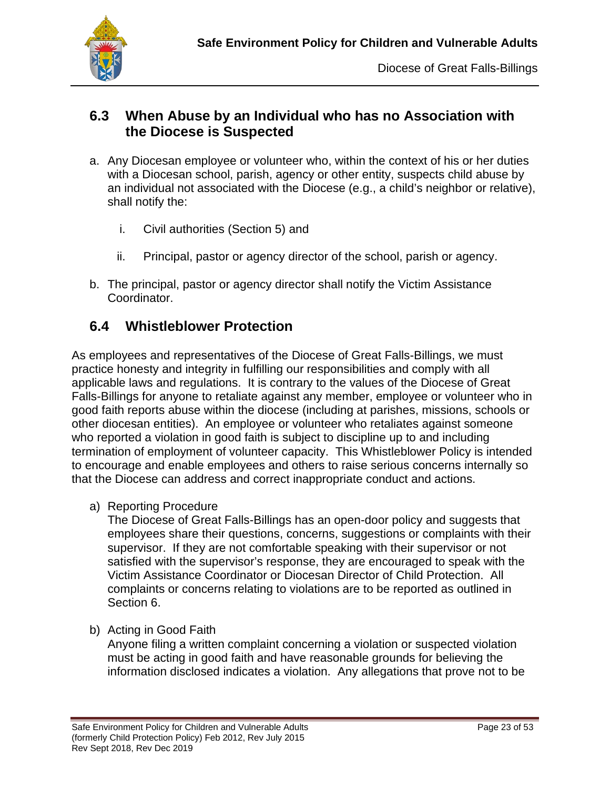

## **6.3 When Abuse by an Individual who has no Association with the Diocese is Suspected**

- a. Any Diocesan employee or volunteer who, within the context of his or her duties with a Diocesan school, parish, agency or other entity, suspects child abuse by an individual not associated with the Diocese (e.g., a child's neighbor or relative), shall notify the:
	- i. Civil authorities (Section 5) and
	- ii. Principal, pastor or agency director of the school, parish or agency.
- b. The principal, pastor or agency director shall notify the Victim Assistance Coordinator.

## **6.4 Whistleblower Protection**

As employees and representatives of the Diocese of Great Falls-Billings, we must practice honesty and integrity in fulfilling our responsibilities and comply with all applicable laws and regulations. It is contrary to the values of the Diocese of Great Falls-Billings for anyone to retaliate against any member, employee or volunteer who in good faith reports abuse within the diocese (including at parishes, missions, schools or other diocesan entities). An employee or volunteer who retaliates against someone who reported a violation in good faith is subject to discipline up to and including termination of employment of volunteer capacity. This Whistleblower Policy is intended to encourage and enable employees and others to raise serious concerns internally so that the Diocese can address and correct inappropriate conduct and actions.

a) Reporting Procedure

The Diocese of Great Falls-Billings has an open-door policy and suggests that employees share their questions, concerns, suggestions or complaints with their supervisor. If they are not comfortable speaking with their supervisor or not satisfied with the supervisor's response, they are encouraged to speak with the Victim Assistance Coordinator or Diocesan Director of Child Protection. All complaints or concerns relating to violations are to be reported as outlined in Section 6.

b) Acting in Good Faith

Anyone filing a written complaint concerning a violation or suspected violation must be acting in good faith and have reasonable grounds for believing the information disclosed indicates a violation. Any allegations that prove not to be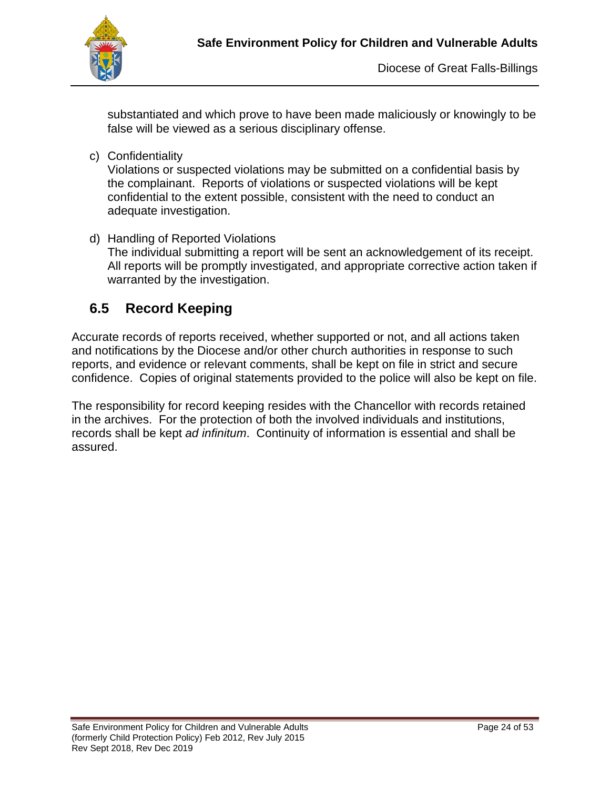

substantiated and which prove to have been made maliciously or knowingly to be false will be viewed as a serious disciplinary offense.

c) Confidentiality

Violations or suspected violations may be submitted on a confidential basis by the complainant. Reports of violations or suspected violations will be kept confidential to the extent possible, consistent with the need to conduct an adequate investigation.

d) Handling of Reported Violations The individual submitting a report will be sent an acknowledgement of its receipt. All reports will be promptly investigated, and appropriate corrective action taken if warranted by the investigation.

## **6.5 Record Keeping**

Accurate records of reports received, whether supported or not, and all actions taken and notifications by the Diocese and/or other church authorities in response to such reports, and evidence or relevant comments, shall be kept on file in strict and secure confidence. Copies of original statements provided to the police will also be kept on file.

The responsibility for record keeping resides with the Chancellor with records retained in the archives. For the protection of both the involved individuals and institutions, records shall be kept *ad infinitum*. Continuity of information is essential and shall be assured.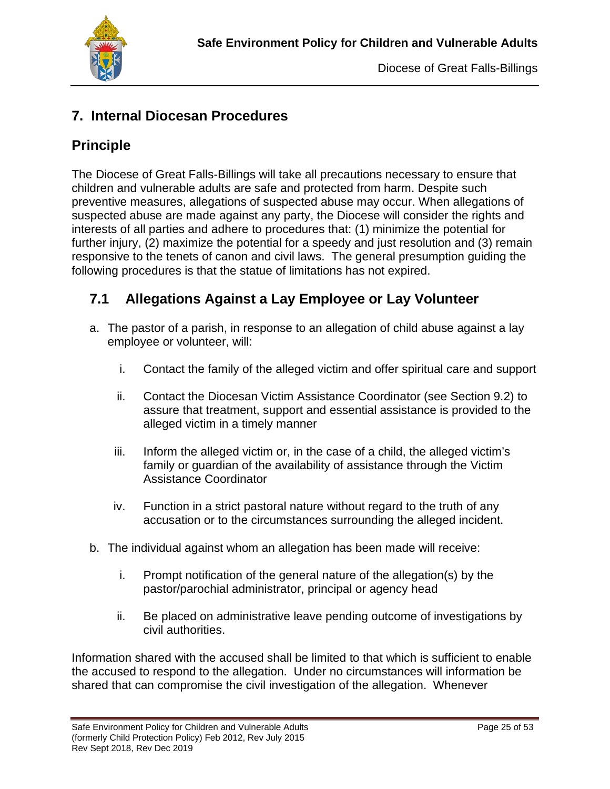

## **7. Internal Diocesan Procedures**

## **Principle**

The Diocese of Great Falls-Billings will take all precautions necessary to ensure that children and vulnerable adults are safe and protected from harm. Despite such preventive measures, allegations of suspected abuse may occur. When allegations of suspected abuse are made against any party, the Diocese will consider the rights and interests of all parties and adhere to procedures that: (1) minimize the potential for further injury, (2) maximize the potential for a speedy and just resolution and (3) remain responsive to the tenets of canon and civil laws. The general presumption guiding the following procedures is that the statue of limitations has not expired.

## **7.1 Allegations Against a Lay Employee or Lay Volunteer**

- a. The pastor of a parish, in response to an allegation of child abuse against a lay employee or volunteer, will:
	- i. Contact the family of the alleged victim and offer spiritual care and support
	- ii. Contact the Diocesan Victim Assistance Coordinator (see Section 9.2) to assure that treatment, support and essential assistance is provided to the alleged victim in a timely manner
	- iii. Inform the alleged victim or, in the case of a child, the alleged victim's family or guardian of the availability of assistance through the Victim Assistance Coordinator
	- iv. Function in a strict pastoral nature without regard to the truth of any accusation or to the circumstances surrounding the alleged incident.
- b. The individual against whom an allegation has been made will receive:
	- i. Prompt notification of the general nature of the allegation(s) by the pastor/parochial administrator, principal or agency head
	- ii. Be placed on administrative leave pending outcome of investigations by civil authorities.

Information shared with the accused shall be limited to that which is sufficient to enable the accused to respond to the allegation. Under no circumstances will information be shared that can compromise the civil investigation of the allegation. Whenever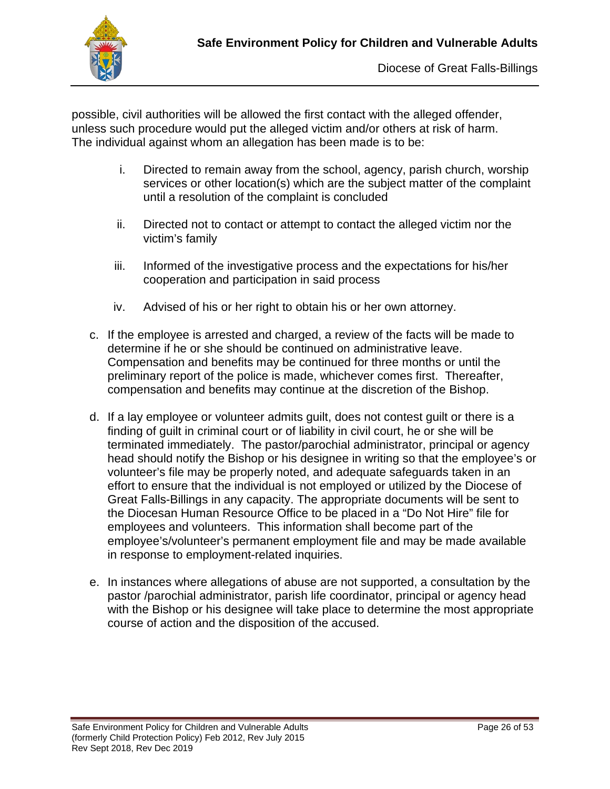

possible, civil authorities will be allowed the first contact with the alleged offender, unless such procedure would put the alleged victim and/or others at risk of harm. The individual against whom an allegation has been made is to be:

- i. Directed to remain away from the school, agency, parish church, worship services or other location(s) which are the subject matter of the complaint until a resolution of the complaint is concluded
- ii. Directed not to contact or attempt to contact the alleged victim nor the victim's family
- iii. Informed of the investigative process and the expectations for his/her cooperation and participation in said process
- iv. Advised of his or her right to obtain his or her own attorney.
- c. If the employee is arrested and charged, a review of the facts will be made to determine if he or she should be continued on administrative leave. Compensation and benefits may be continued for three months or until the preliminary report of the police is made, whichever comes first. Thereafter, compensation and benefits may continue at the discretion of the Bishop.
- d. If a lay employee or volunteer admits guilt, does not contest guilt or there is a finding of guilt in criminal court or of liability in civil court, he or she will be terminated immediately. The pastor/parochial administrator, principal or agency head should notify the Bishop or his designee in writing so that the employee's or volunteer's file may be properly noted, and adequate safeguards taken in an effort to ensure that the individual is not employed or utilized by the Diocese of Great Falls-Billings in any capacity. The appropriate documents will be sent to the Diocesan Human Resource Office to be placed in a "Do Not Hire" file for employees and volunteers. This information shall become part of the employee's/volunteer's permanent employment file and may be made available in response to employment-related inquiries.
- e. In instances where allegations of abuse are not supported, a consultation by the pastor /parochial administrator, parish life coordinator, principal or agency head with the Bishop or his designee will take place to determine the most appropriate course of action and the disposition of the accused.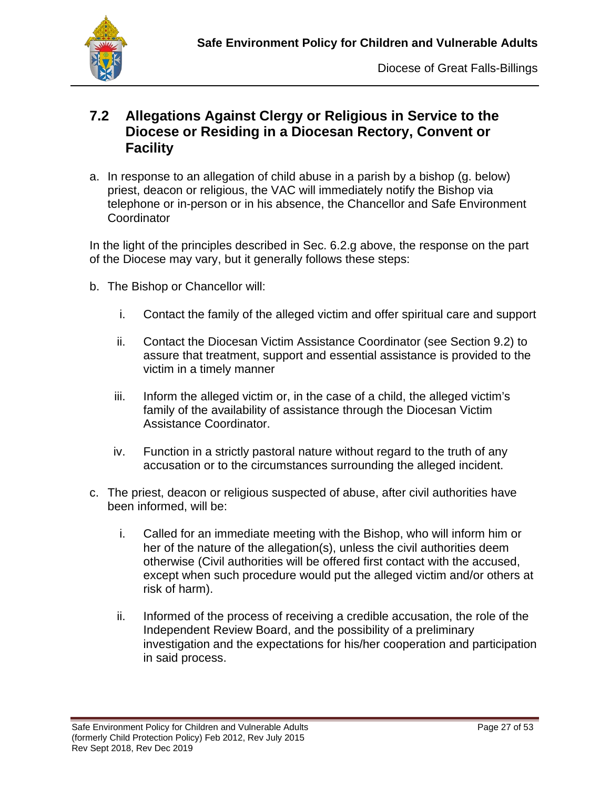

#### **7.2 Allegations Against Clergy or Religious in Service to the Diocese or Residing in a Diocesan Rectory, Convent or Facility**

a. In response to an allegation of child abuse in a parish by a bishop (g. below) priest, deacon or religious, the VAC will immediately notify the Bishop via telephone or in-person or in his absence, the Chancellor and Safe Environment **Coordinator** 

In the light of the principles described in Sec. 6.2.g above, the response on the part of the Diocese may vary, but it generally follows these steps:

- b. The Bishop or Chancellor will:
	- i. Contact the family of the alleged victim and offer spiritual care and support
	- ii. Contact the Diocesan Victim Assistance Coordinator (see Section 9.2) to assure that treatment, support and essential assistance is provided to the victim in a timely manner
	- iii. Inform the alleged victim or, in the case of a child, the alleged victim's family of the availability of assistance through the Diocesan Victim Assistance Coordinator.
	- iv. Function in a strictly pastoral nature without regard to the truth of any accusation or to the circumstances surrounding the alleged incident.
- c. The priest, deacon or religious suspected of abuse, after civil authorities have been informed, will be:
	- i. Called for an immediate meeting with the Bishop, who will inform him or her of the nature of the allegation(s), unless the civil authorities deem otherwise (Civil authorities will be offered first contact with the accused, except when such procedure would put the alleged victim and/or others at risk of harm).
	- ii. Informed of the process of receiving a credible accusation, the role of the Independent Review Board, and the possibility of a preliminary investigation and the expectations for his/her cooperation and participation in said process.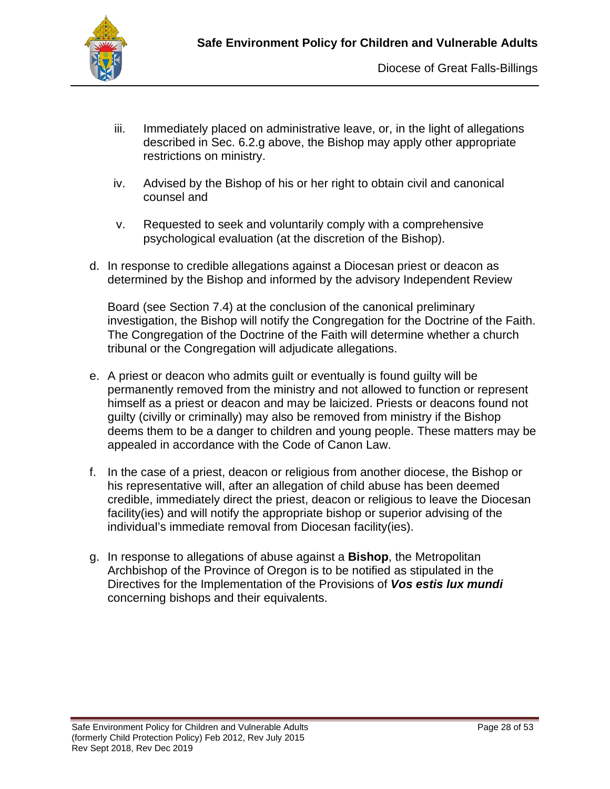

- iii. Immediately placed on administrative leave, or, in the light of allegations described in Sec. 6.2.g above, the Bishop may apply other appropriate restrictions on ministry.
- iv. Advised by the Bishop of his or her right to obtain civil and canonical counsel and
- v. Requested to seek and voluntarily comply with a comprehensive psychological evaluation (at the discretion of the Bishop).
- d. In response to credible allegations against a Diocesan priest or deacon as determined by the Bishop and informed by the advisory Independent Review

Board (see Section 7.4) at the conclusion of the canonical preliminary investigation, the Bishop will notify the Congregation for the Doctrine of the Faith. The Congregation of the Doctrine of the Faith will determine whether a church tribunal or the Congregation will adjudicate allegations.

- e. A priest or deacon who admits guilt or eventually is found guilty will be permanently removed from the ministry and not allowed to function or represent himself as a priest or deacon and may be laicized. Priests or deacons found not guilty (civilly or criminally) may also be removed from ministry if the Bishop deems them to be a danger to children and young people. These matters may be appealed in accordance with the Code of Canon Law.
- f. In the case of a priest, deacon or religious from another diocese, the Bishop or his representative will, after an allegation of child abuse has been deemed credible, immediately direct the priest, deacon or religious to leave the Diocesan facility(ies) and will notify the appropriate bishop or superior advising of the individual's immediate removal from Diocesan facility(ies).
- g. In response to allegations of abuse against a **Bishop**, the Metropolitan Archbishop of the Province of Oregon is to be notified as stipulated in the Directives for the Implementation of the Provisions of *Vos estis lux mundi*  concerning bishops and their equivalents.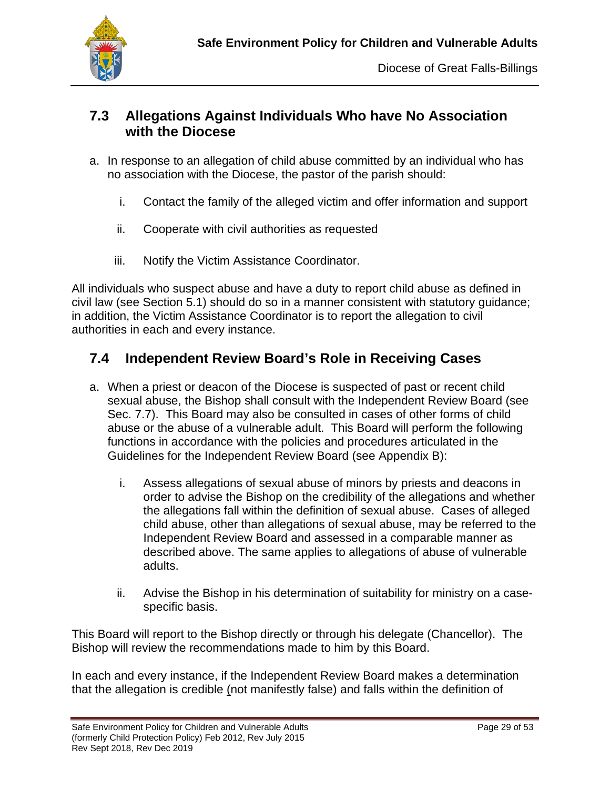

### **7.3 Allegations Against Individuals Who have No Association with the Diocese**

- a. In response to an allegation of child abuse committed by an individual who has no association with the Diocese, the pastor of the parish should:
	- i. Contact the family of the alleged victim and offer information and support
	- ii. Cooperate with civil authorities as requested
	- iii. Notify the Victim Assistance Coordinator.

All individuals who suspect abuse and have a duty to report child abuse as defined in civil law (see Section 5.1) should do so in a manner consistent with statutory guidance; in addition, the Victim Assistance Coordinator is to report the allegation to civil authorities in each and every instance.

## **7.4 Independent Review Board's Role in Receiving Cases**

- a. When a priest or deacon of the Diocese is suspected of past or recent child sexual abuse, the Bishop shall consult with the Independent Review Board (see Sec. 7.7). This Board may also be consulted in cases of other forms of child abuse or the abuse of a vulnerable adult. This Board will perform the following functions in accordance with the policies and procedures articulated in the Guidelines for the Independent Review Board (see Appendix B):
	- i. Assess allegations of sexual abuse of minors by priests and deacons in order to advise the Bishop on the credibility of the allegations and whether the allegations fall within the definition of sexual abuse. Cases of alleged child abuse, other than allegations of sexual abuse, may be referred to the Independent Review Board and assessed in a comparable manner as described above. The same applies to allegations of abuse of vulnerable adults.
	- ii. Advise the Bishop in his determination of suitability for ministry on a casespecific basis.

This Board will report to the Bishop directly or through his delegate (Chancellor). The Bishop will review the recommendations made to him by this Board.

In each and every instance, if the Independent Review Board makes a determination that the allegation is credible (not manifestly false) and falls within the definition of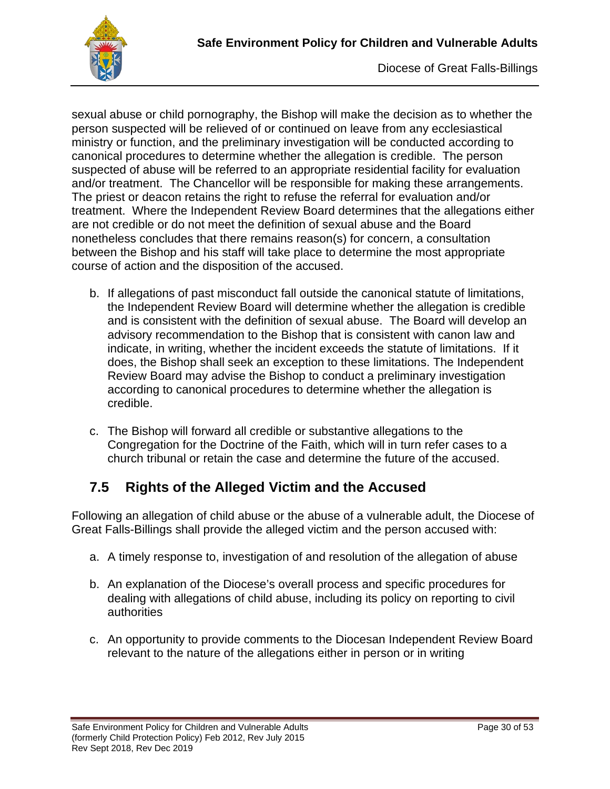

sexual abuse or child pornography, the Bishop will make the decision as to whether the person suspected will be relieved of or continued on leave from any ecclesiastical ministry or function, and the preliminary investigation will be conducted according to canonical procedures to determine whether the allegation is credible. The person suspected of abuse will be referred to an appropriate residential facility for evaluation and/or treatment. The Chancellor will be responsible for making these arrangements. The priest or deacon retains the right to refuse the referral for evaluation and/or treatment. Where the Independent Review Board determines that the allegations either are not credible or do not meet the definition of sexual abuse and the Board nonetheless concludes that there remains reason(s) for concern, a consultation between the Bishop and his staff will take place to determine the most appropriate course of action and the disposition of the accused.

- b. If allegations of past misconduct fall outside the canonical statute of limitations, the Independent Review Board will determine whether the allegation is credible and is consistent with the definition of sexual abuse. The Board will develop an advisory recommendation to the Bishop that is consistent with canon law and indicate, in writing, whether the incident exceeds the statute of limitations. If it does, the Bishop shall seek an exception to these limitations. The Independent Review Board may advise the Bishop to conduct a preliminary investigation according to canonical procedures to determine whether the allegation is credible.
- c. The Bishop will forward all credible or substantive allegations to the Congregation for the Doctrine of the Faith, which will in turn refer cases to a church tribunal or retain the case and determine the future of the accused.

## **7.5 Rights of the Alleged Victim and the Accused**

Following an allegation of child abuse or the abuse of a vulnerable adult, the Diocese of Great Falls-Billings shall provide the alleged victim and the person accused with:

- a. A timely response to, investigation of and resolution of the allegation of abuse
- b. An explanation of the Diocese's overall process and specific procedures for dealing with allegations of child abuse, including its policy on reporting to civil authorities
- c. An opportunity to provide comments to the Diocesan Independent Review Board relevant to the nature of the allegations either in person or in writing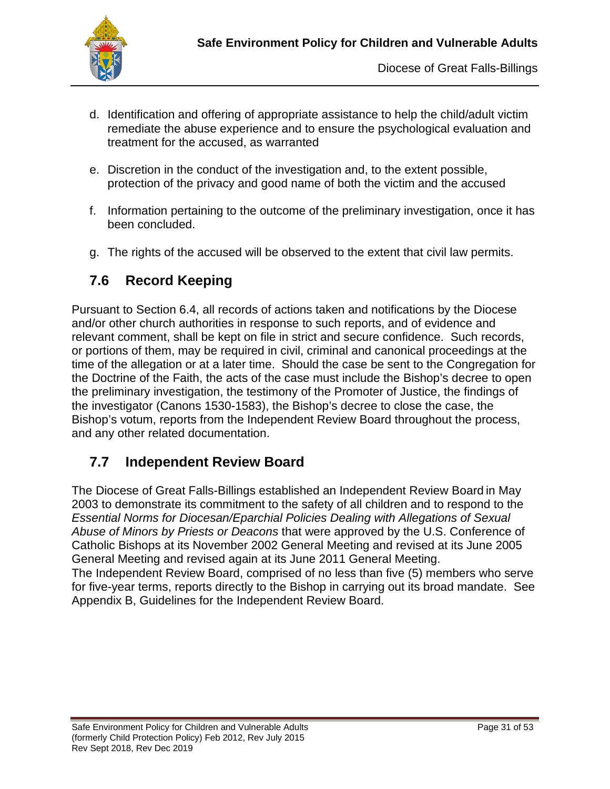

- d. Identification and offering of appropriate assistance to help the child/adult victim remediate the abuse experience and to ensure the psychological evaluation and treatment for the accused, as warranted
- e. Discretion in the conduct of the investigation and, to the extent possible, protection of the privacy and good name of both the victim and the accused
- f. Information pertaining to the outcome of the preliminary investigation, once it has been concluded.
- g. The rights of the accused will be observed to the extent that civil law permits.

## **7.6 Record Keeping**

Pursuant to Section 6.4, all records of actions taken and notifications by the Diocese and/or other church authorities in response to such reports, and of evidence and relevant comment, shall be kept on file in strict and secure confidence. Such records, or portions of them, may be required in civil, criminal and canonical proceedings at the time of the allegation or at a later time. Should the case be sent to the Congregation for the Doctrine of the Faith, the acts of the case must include the Bishop's decree to open the preliminary investigation, the testimony of the Promoter of Justice, the findings of the investigator (Canons 1530-1583), the Bishop's decree to close the case, the Bishop's votum, reports from the Independent Review Board throughout the process, and any other related documentation.

## **7.7 Independent Review Board**

The Diocese of Great Falls-Billings established an Independent Review Board in May 2003 to demonstrate its commitment to the safety of all children and to respond to the *Essential Norms for Diocesan/Eparchial Policies Dealing with Allegations of Sexual Abuse of Minors by Priests or Deacons* that were approved by the U.S. Conference of Catholic Bishops at its November 2002 General Meeting and revised at its June 2005 General Meeting and revised again at its June 2011 General Meeting.

The Independent Review Board, comprised of no less than five (5) members who serve for five-year terms, reports directly to the Bishop in carrying out its broad mandate. See Appendix B, Guidelines for the Independent Review Board.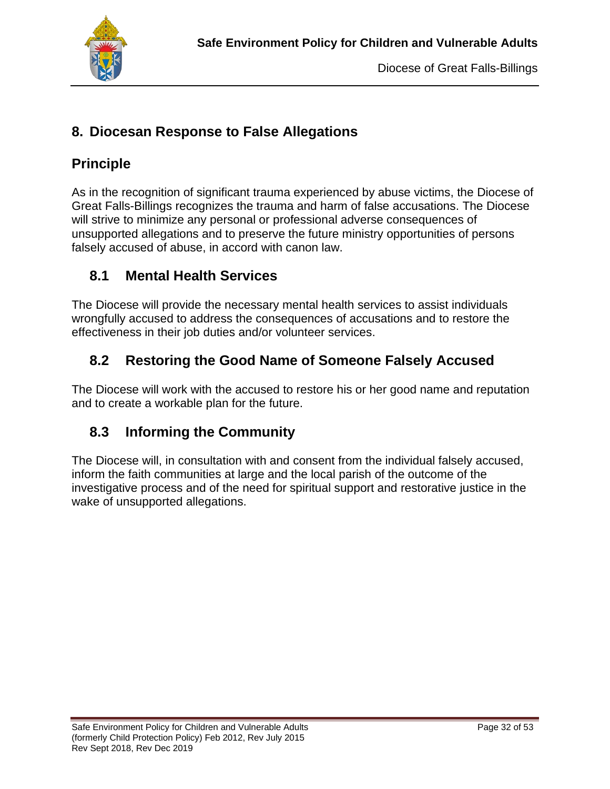

## **8. Diocesan Response to False Allegations**

## **Principle**

As in the recognition of significant trauma experienced by abuse victims, the Diocese of Great Falls-Billings recognizes the trauma and harm of false accusations. The Diocese will strive to minimize any personal or professional adverse consequences of unsupported allegations and to preserve the future ministry opportunities of persons falsely accused of abuse, in accord with canon law.

## **8.1 Mental Health Services**

The Diocese will provide the necessary mental health services to assist individuals wrongfully accused to address the consequences of accusations and to restore the effectiveness in their job duties and/or volunteer services.

# **8.2 Restoring the Good Name of Someone Falsely Accused**

The Diocese will work with the accused to restore his or her good name and reputation and to create a workable plan for the future.

## **8.3 Informing the Community**

The Diocese will, in consultation with and consent from the individual falsely accused, inform the faith communities at large and the local parish of the outcome of the investigative process and of the need for spiritual support and restorative justice in the wake of unsupported allegations.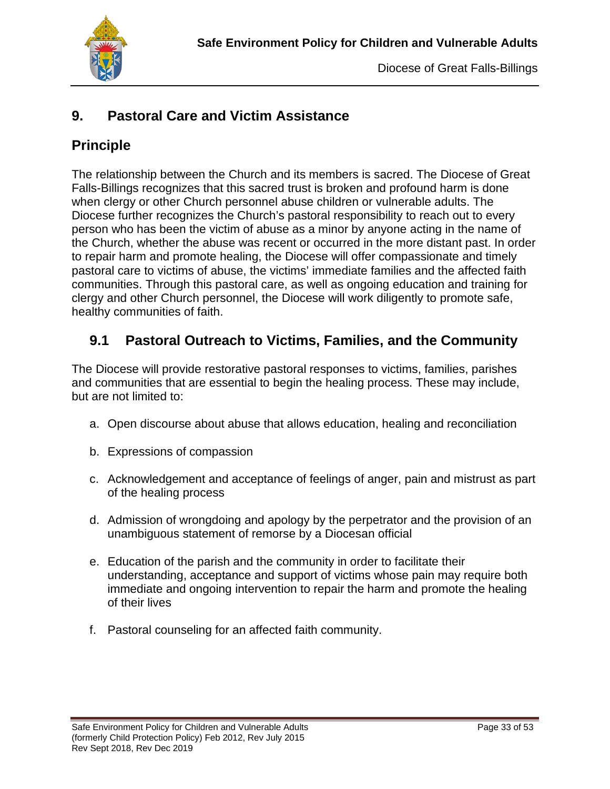

## **9. Pastoral Care and Victim Assistance**

## **Principle**

The relationship between the Church and its members is sacred. The Diocese of Great Falls-Billings recognizes that this sacred trust is broken and profound harm is done when clergy or other Church personnel abuse children or vulnerable adults. The Diocese further recognizes the Church's pastoral responsibility to reach out to every person who has been the victim of abuse as a minor by anyone acting in the name of the Church, whether the abuse was recent or occurred in the more distant past. In order to repair harm and promote healing, the Diocese will offer compassionate and timely pastoral care to victims of abuse, the victims' immediate families and the affected faith communities. Through this pastoral care, as well as ongoing education and training for clergy and other Church personnel, the Diocese will work diligently to promote safe, healthy communities of faith.

## **9.1 Pastoral Outreach to Victims, Families, and the Community**

The Diocese will provide restorative pastoral responses to victims, families, parishes and communities that are essential to begin the healing process. These may include, but are not limited to:

- a. Open discourse about abuse that allows education, healing and reconciliation
- b. Expressions of compassion
- c. Acknowledgement and acceptance of feelings of anger, pain and mistrust as part of the healing process
- d. Admission of wrongdoing and apology by the perpetrator and the provision of an unambiguous statement of remorse by a Diocesan official
- e. Education of the parish and the community in order to facilitate their understanding, acceptance and support of victims whose pain may require both immediate and ongoing intervention to repair the harm and promote the healing of their lives
- f. Pastoral counseling for an affected faith community.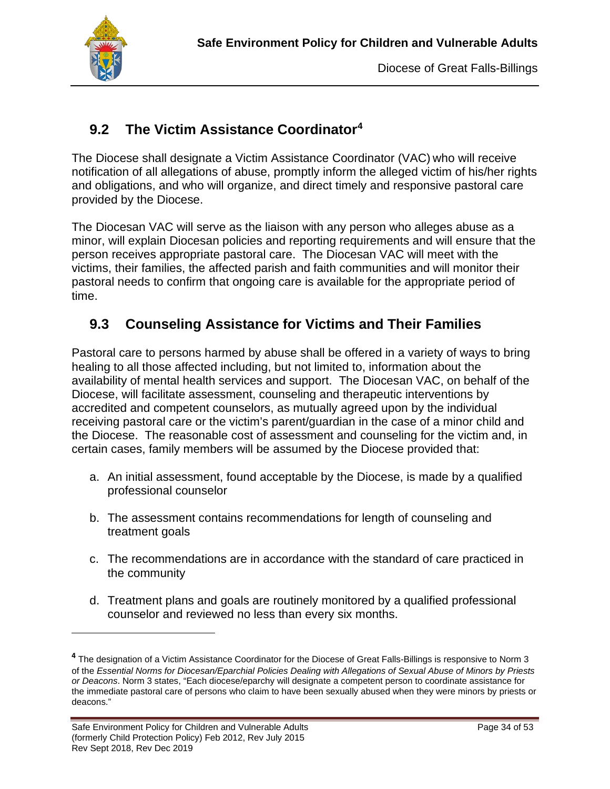

## **9.2 The Victim Assistance Coordinator[4](#page-34-0)**

The Diocese shall designate a Victim Assistance Coordinator (VAC) who will receive notification of all allegations of abuse, promptly inform the alleged victim of his/her rights and obligations, and who will organize, and direct timely and responsive pastoral care provided by the Diocese.

The Diocesan VAC will serve as the liaison with any person who alleges abuse as a minor, will explain Diocesan policies and reporting requirements and will ensure that the person receives appropriate pastoral care. The Diocesan VAC will meet with the victims, their families, the affected parish and faith communities and will monitor their pastoral needs to confirm that ongoing care is available for the appropriate period of time.

## **9.3 Counseling Assistance for Victims and Their Families**

Pastoral care to persons harmed by abuse shall be offered in a variety of ways to bring healing to all those affected including, but not limited to, information about the availability of mental health services and support. The Diocesan VAC, on behalf of the Diocese, will facilitate assessment, counseling and therapeutic interventions by accredited and competent counselors, as mutually agreed upon by the individual receiving pastoral care or the victim's parent/guardian in the case of a minor child and the Diocese. The reasonable cost of assessment and counseling for the victim and, in certain cases, family members will be assumed by the Diocese provided that:

- a. An initial assessment, found acceptable by the Diocese, is made by a qualified professional counselor
- b. The assessment contains recommendations for length of counseling and treatment goals
- c. The recommendations are in accordance with the standard of care practiced in the community
- d. Treatment plans and goals are routinely monitored by a qualified professional counselor and reviewed no less than every six months.

<span id="page-34-0"></span>**<sup>4</sup>** The designation of a Victim Assistance Coordinator for the Diocese of Great Falls-Billings is responsive to Norm 3 of the *Essential Norms for Diocesan/Eparchial Policies Dealing with Allegations of Sexual Abuse of Minors by Priests or Deacons*. Norm 3 states, "Each diocese/eparchy will designate a competent person to coordinate assistance for the immediate pastoral care of persons who claim to have been sexually abused when they were minors by priests or deacons."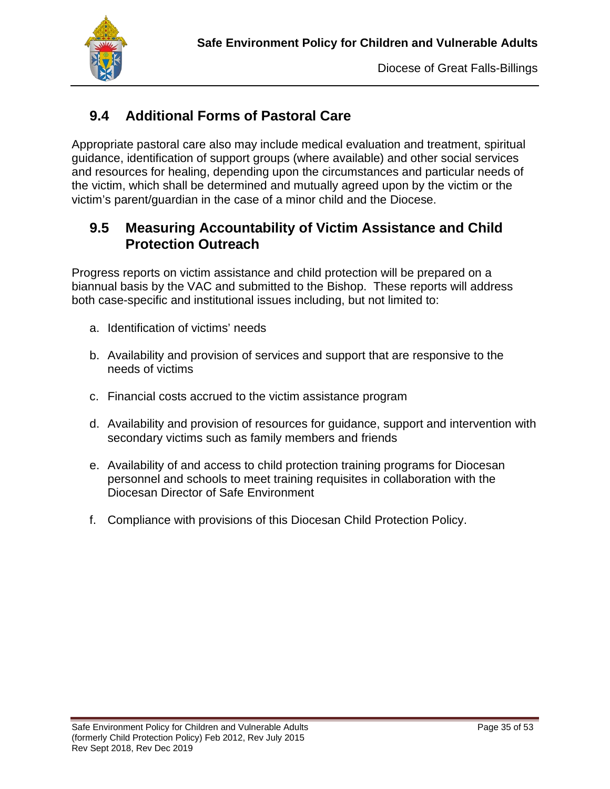

# **9.4 Additional Forms of Pastoral Care**

Appropriate pastoral care also may include medical evaluation and treatment, spiritual guidance, identification of support groups (where available) and other social services and resources for healing, depending upon the circumstances and particular needs of the victim, which shall be determined and mutually agreed upon by the victim or the victim's parent/guardian in the case of a minor child and the Diocese.

#### **9.5 Measuring Accountability of Victim Assistance and Child Protection Outreach**

Progress reports on victim assistance and child protection will be prepared on a biannual basis by the VAC and submitted to the Bishop. These reports will address both case-specific and institutional issues including, but not limited to:

- a. Identification of victims' needs
- b. Availability and provision of services and support that are responsive to the needs of victims
- c. Financial costs accrued to the victim assistance program
- d. Availability and provision of resources for guidance, support and intervention with secondary victims such as family members and friends
- e. Availability of and access to child protection training programs for Diocesan personnel and schools to meet training requisites in collaboration with the Diocesan Director of Safe Environment
- f. Compliance with provisions of this Diocesan Child Protection Policy.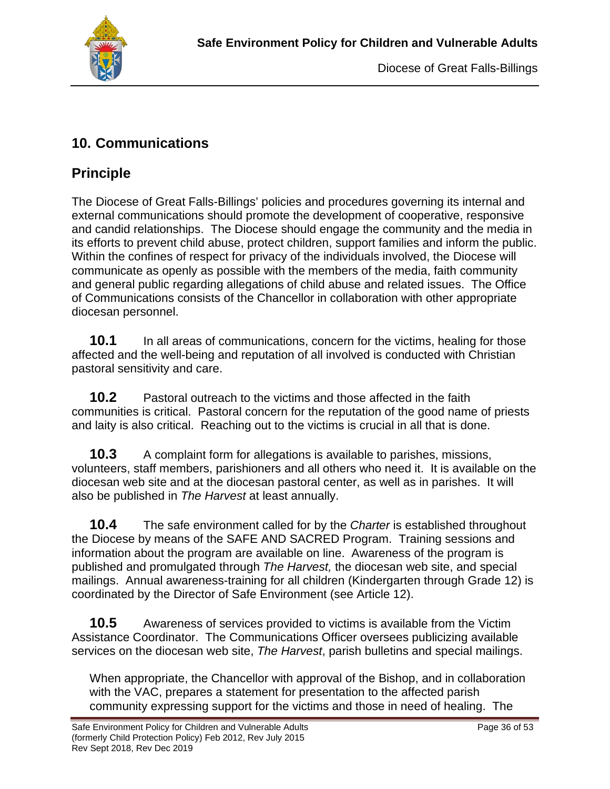

## **10. Communications**

# **Principle**

The Diocese of Great Falls-Billings' policies and procedures governing its internal and external communications should promote the development of cooperative, responsive and candid relationships. The Diocese should engage the community and the media in its efforts to prevent child abuse, protect children, support families and inform the public. Within the confines of respect for privacy of the individuals involved, the Diocese will communicate as openly as possible with the members of the media, faith community and general public regarding allegations of child abuse and related issues. The Office of Communications consists of the Chancellor in collaboration with other appropriate diocesan personnel.

**10.1** In all areas of communications, concern for the victims, healing for those affected and the well-being and reputation of all involved is conducted with Christian pastoral sensitivity and care.

**10.2** Pastoral outreach to the victims and those affected in the faith communities is critical. Pastoral concern for the reputation of the good name of priests and laity is also critical. Reaching out to the victims is crucial in all that is done.

**10.3** A complaint form for allegations is available to parishes, missions, volunteers, staff members, parishioners and all others who need it. It is available on the diocesan web site and at the diocesan pastoral center, as well as in parishes. It will also be published in *The Harvest* at least annually.

**10.4** The safe environment called for by the *Charter* is established throughout the Diocese by means of the SAFE AND SACRED Program. Training sessions and information about the program are available on line. Awareness of the program is published and promulgated through *The Harvest,* the diocesan web site, and special mailings. Annual awareness-training for all children (Kindergarten through Grade 12) is coordinated by the Director of Safe Environment (see Article 12).

**10.5** Awareness of services provided to victims is available from the Victim Assistance Coordinator. The Communications Officer oversees publicizing available services on the diocesan web site, *The Harvest*, parish bulletins and special mailings.

When appropriate, the Chancellor with approval of the Bishop, and in collaboration with the VAC, prepares a statement for presentation to the affected parish community expressing support for the victims and those in need of healing. The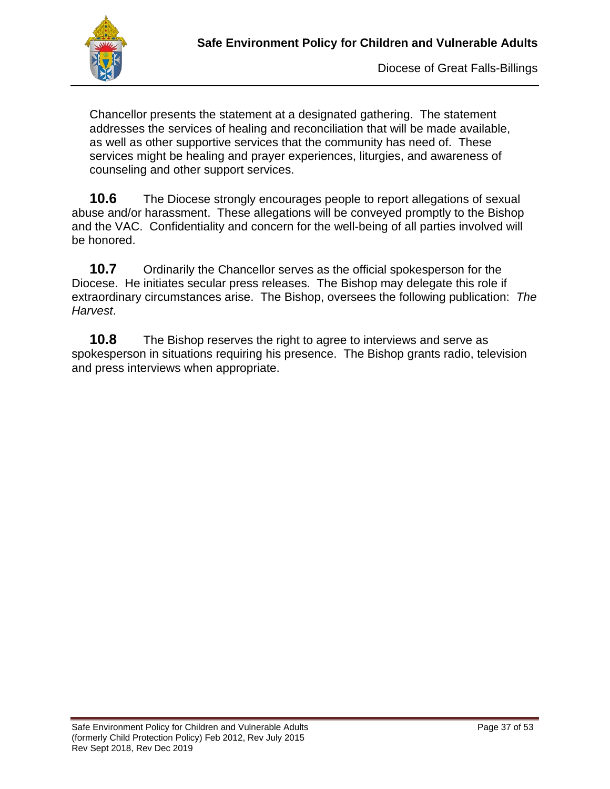

Chancellor presents the statement at a designated gathering. The statement addresses the services of healing and reconciliation that will be made available, as well as other supportive services that the community has need of. These services might be healing and prayer experiences, liturgies, and awareness of counseling and other support services.

**10.6** The Diocese strongly encourages people to report allegations of sexual abuse and/or harassment. These allegations will be conveyed promptly to the Bishop and the VAC. Confidentiality and concern for the well-being of all parties involved will be honored.

**10.7** Ordinarily the Chancellor serves as the official spokesperson for the Diocese. He initiates secular press releases. The Bishop may delegate this role if extraordinary circumstances arise. The Bishop, oversees the following publication: *The Harvest*.

**10.8** The Bishop reserves the right to agree to interviews and serve as spokesperson in situations requiring his presence. The Bishop grants radio, television and press interviews when appropriate.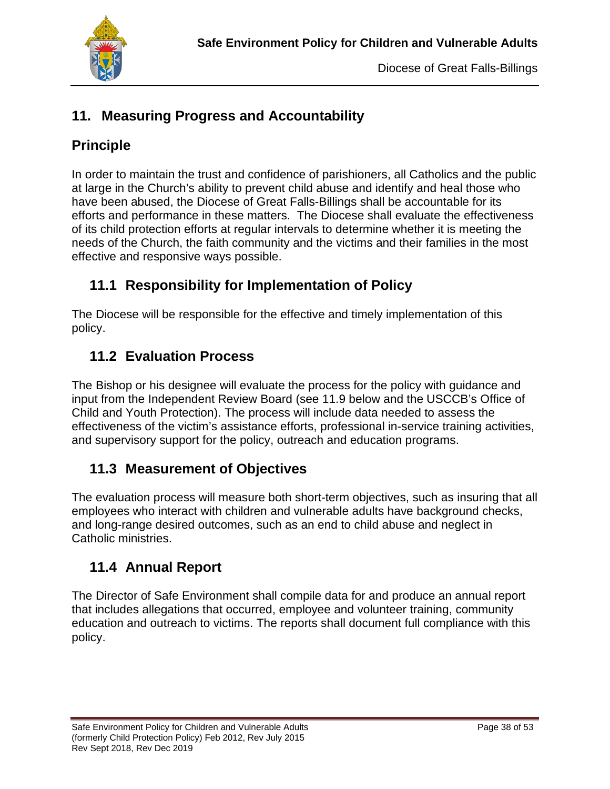

## **11. Measuring Progress and Accountability**

## **Principle**

In order to maintain the trust and confidence of parishioners, all Catholics and the public at large in the Church's ability to prevent child abuse and identify and heal those who have been abused, the Diocese of Great Falls-Billings shall be accountable for its efforts and performance in these matters. The Diocese shall evaluate the effectiveness of its child protection efforts at regular intervals to determine whether it is meeting the needs of the Church, the faith community and the victims and their families in the most effective and responsive ways possible.

## **11.1 Responsibility for Implementation of Policy**

The Diocese will be responsible for the effective and timely implementation of this policy.

## **11.2 Evaluation Process**

The Bishop or his designee will evaluate the process for the policy with guidance and input from the Independent Review Board (see 11.9 below and the USCCB's Office of Child and Youth Protection). The process will include data needed to assess the effectiveness of the victim's assistance efforts, professional in-service training activities, and supervisory support for the policy, outreach and education programs.

## **11.3 Measurement of Objectives**

The evaluation process will measure both short-term objectives, such as insuring that all employees who interact with children and vulnerable adults have background checks, and long-range desired outcomes, such as an end to child abuse and neglect in Catholic ministries.

## **11.4 Annual Report**

The Director of Safe Environment shall compile data for and produce an annual report that includes allegations that occurred, employee and volunteer training, community education and outreach to victims. The reports shall document full compliance with this policy.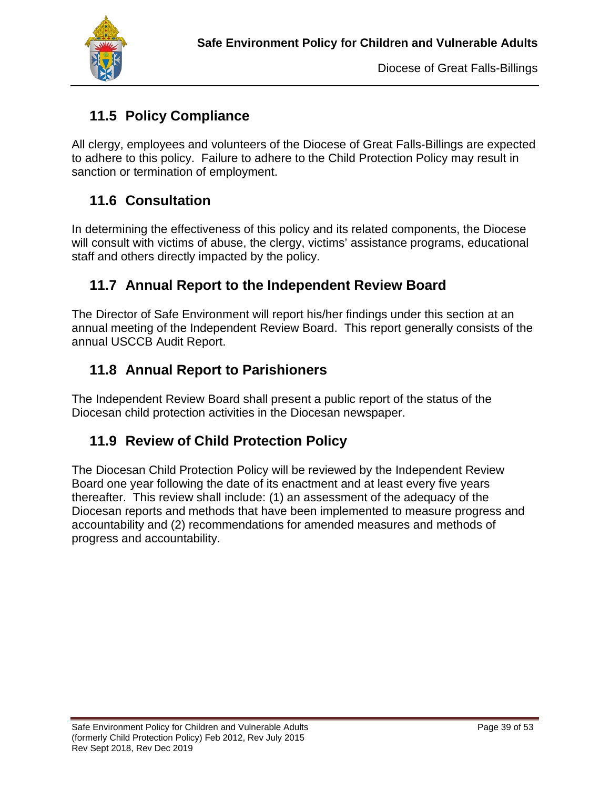

# **11.5 Policy Compliance**

All clergy, employees and volunteers of the Diocese of Great Falls-Billings are expected to adhere to this policy. Failure to adhere to the Child Protection Policy may result in sanction or termination of employment.

## **11.6 Consultation**

In determining the effectiveness of this policy and its related components, the Diocese will consult with victims of abuse, the clergy, victims' assistance programs, educational staff and others directly impacted by the policy.

## **11.7 Annual Report to the Independent Review Board**

The Director of Safe Environment will report his/her findings under this section at an annual meeting of the Independent Review Board. This report generally consists of the annual USCCB Audit Report.

## **11.8 Annual Report to Parishioners**

The Independent Review Board shall present a public report of the status of the Diocesan child protection activities in the Diocesan newspaper.

#### **11.9 Review of Child Protection Policy**

The Diocesan Child Protection Policy will be reviewed by the Independent Review Board one year following the date of its enactment and at least every five years thereafter. This review shall include: (1) an assessment of the adequacy of the Diocesan reports and methods that have been implemented to measure progress and accountability and (2) recommendations for amended measures and methods of progress and accountability.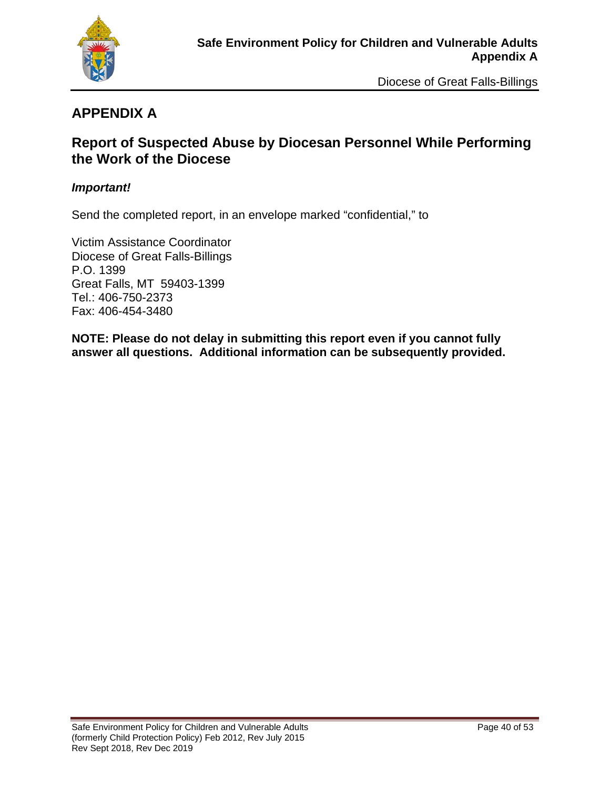

## **APPENDIX A**

#### **Report of Suspected Abuse by Diocesan Personnel While Performing the Work of the Diocese**

#### *Important!*

Send the completed report, in an envelope marked "confidential," to

Victim Assistance Coordinator Diocese of Great Falls-Billings P.O. 1399 Great Falls, MT 59403-1399 Tel.: 406-750-2373 Fax: 406-454-3480

**NOTE: Please do not delay in submitting this report even if you cannot fully answer all questions. Additional information can be subsequently provided.**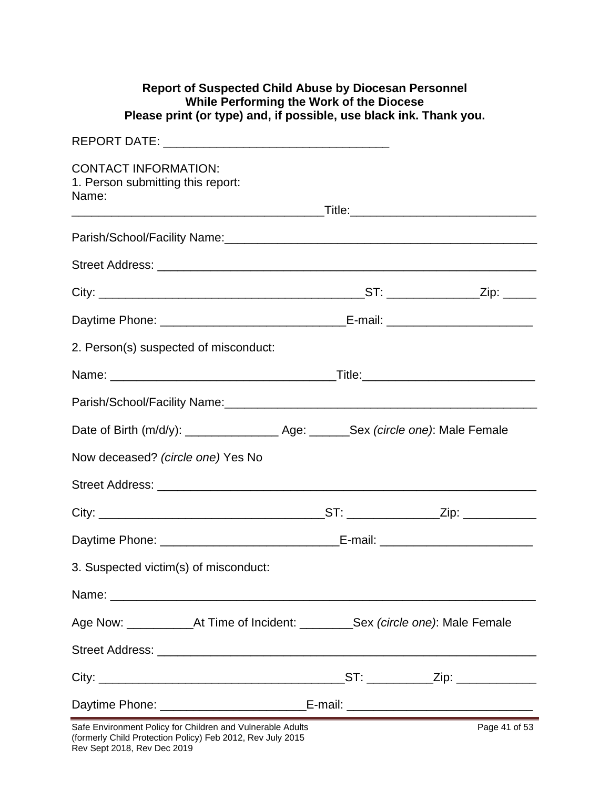#### **Report of Suspected Child Abuse by Diocesan Personnel While Performing the Work of the Diocese Please print (or type) and, if possible, use black ink. Thank you.**

| <b>CONTACT INFORMATION:</b><br>1. Person submitting this report:<br>Name:            |  |               |
|--------------------------------------------------------------------------------------|--|---------------|
|                                                                                      |  |               |
|                                                                                      |  |               |
|                                                                                      |  |               |
|                                                                                      |  |               |
| 2. Person(s) suspected of misconduct:                                                |  |               |
|                                                                                      |  |               |
|                                                                                      |  |               |
|                                                                                      |  |               |
| Now deceased? (circle one) Yes No                                                    |  |               |
|                                                                                      |  |               |
|                                                                                      |  |               |
|                                                                                      |  |               |
| 3. Suspected victim(s) of misconduct:                                                |  |               |
|                                                                                      |  |               |
| Age Now: ______________At Time of Incident: ___________Sex (circle one): Male Female |  |               |
|                                                                                      |  |               |
|                                                                                      |  |               |
| Daytime Phone: _________________________________E-mail: _________________________    |  |               |
| Safe Environment Policy for Children and Vulnerable Adults                           |  | Page 41 of 53 |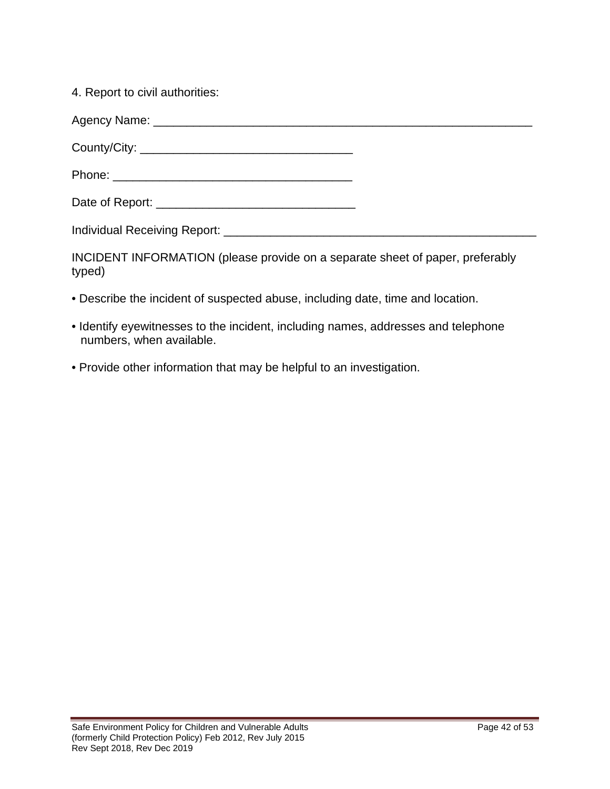4. Report to civil authorities:

INCIDENT INFORMATION (please provide on a separate sheet of paper, preferably typed)

- Describe the incident of suspected abuse, including date, time and location.
- Identify eyewitnesses to the incident, including names, addresses and telephone numbers, when available.
- Provide other information that may be helpful to an investigation.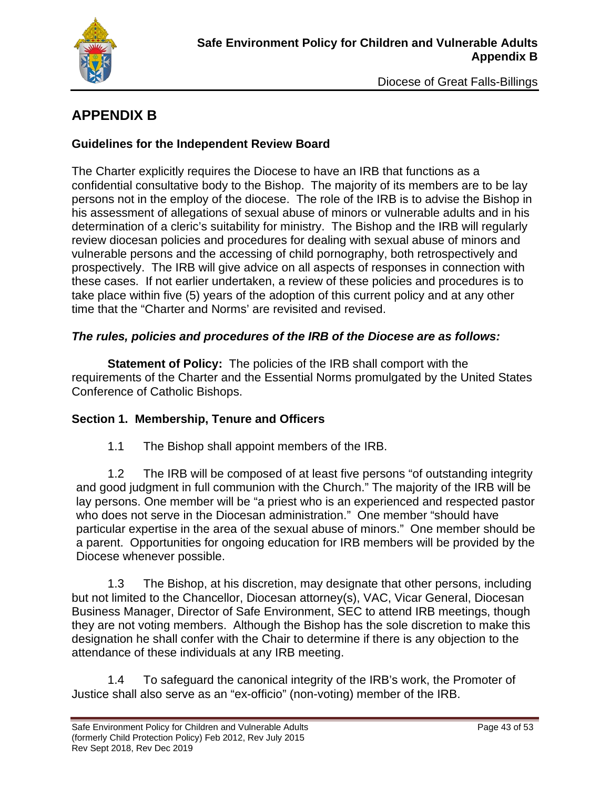

# **APPENDIX B**

#### **Guidelines for the Independent Review Board**

The Charter explicitly requires the Diocese to have an IRB that functions as a confidential consultative body to the Bishop. The majority of its members are to be lay persons not in the employ of the diocese. The role of the IRB is to advise the Bishop in his assessment of allegations of sexual abuse of minors or vulnerable adults and in his determination of a cleric's suitability for ministry. The Bishop and the IRB will regularly review diocesan policies and procedures for dealing with sexual abuse of minors and vulnerable persons and the accessing of child pornography, both retrospectively and prospectively. The IRB will give advice on all aspects of responses in connection with these cases. If not earlier undertaken, a review of these policies and procedures is to take place within five (5) years of the adoption of this current policy and at any other time that the "Charter and Norms' are revisited and revised.

#### *The rules, policies and procedures of the IRB of the Diocese are as follows:*

**Statement of Policy:** The policies of the IRB shall comport with the requirements of the Charter and the Essential Norms promulgated by the United States Conference of Catholic Bishops.

#### **Section 1. Membership, Tenure and Officers**

1.1 The Bishop shall appoint members of the IRB.

1.2 The IRB will be composed of at least five persons "of outstanding integrity and good judgment in full communion with the Church." The majority of the IRB will be lay persons. One member will be "a priest who is an experienced and respected pastor who does not serve in the Diocesan administration." One member "should have particular expertise in the area of the sexual abuse of minors." One member should be a parent. Opportunities for ongoing education for IRB members will be provided by the Diocese whenever possible.

1.3 The Bishop, at his discretion, may designate that other persons, including but not limited to the Chancellor, Diocesan attorney(s), VAC, Vicar General, Diocesan Business Manager, Director of Safe Environment, SEC to attend IRB meetings, though they are not voting members. Although the Bishop has the sole discretion to make this designation he shall confer with the Chair to determine if there is any objection to the attendance of these individuals at any IRB meeting.

1.4 To safeguard the canonical integrity of the IRB's work, the Promoter of Justice shall also serve as an "ex-officio" (non-voting) member of the IRB.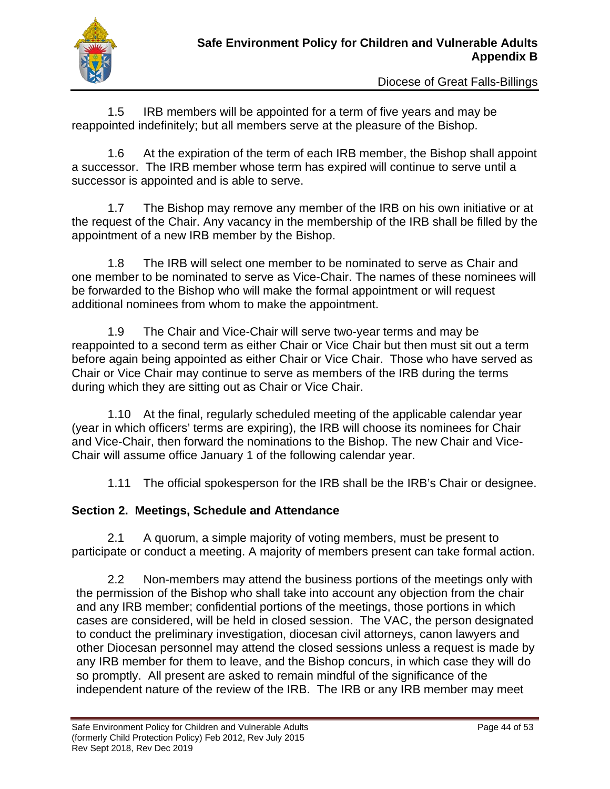

1.5 IRB members will be appointed for a term of five years and may be reappointed indefinitely; but all members serve at the pleasure of the Bishop.

1.6 At the expiration of the term of each IRB member, the Bishop shall appoint a successor. The IRB member whose term has expired will continue to serve until a successor is appointed and is able to serve.

1.7 The Bishop may remove any member of the IRB on his own initiative or at the request of the Chair. Any vacancy in the membership of the IRB shall be filled by the appointment of a new IRB member by the Bishop.

1.8 The IRB will select one member to be nominated to serve as Chair and one member to be nominated to serve as Vice-Chair. The names of these nominees will be forwarded to the Bishop who will make the formal appointment or will request additional nominees from whom to make the appointment.

1.9 The Chair and Vice-Chair will serve two-year terms and may be reappointed to a second term as either Chair or Vice Chair but then must sit out a term before again being appointed as either Chair or Vice Chair. Those who have served as Chair or Vice Chair may continue to serve as members of the IRB during the terms during which they are sitting out as Chair or Vice Chair.

1.10 At the final, regularly scheduled meeting of the applicable calendar year (year in which officers' terms are expiring), the IRB will choose its nominees for Chair and Vice-Chair, then forward the nominations to the Bishop. The new Chair and Vice-Chair will assume office January 1 of the following calendar year.

1.11 The official spokesperson for the IRB shall be the IRB's Chair or designee.

#### **Section 2. Meetings, Schedule and Attendance**

2.1 A quorum, a simple majority of voting members, must be present to participate or conduct a meeting. A majority of members present can take formal action.

2.2 Non-members may attend the business portions of the meetings only with the permission of the Bishop who shall take into account any objection from the chair and any IRB member; confidential portions of the meetings, those portions in which cases are considered, will be held in closed session. The VAC, the person designated to conduct the preliminary investigation, diocesan civil attorneys, canon lawyers and other Diocesan personnel may attend the closed sessions unless a request is made by any IRB member for them to leave, and the Bishop concurs, in which case they will do so promptly. All present are asked to remain mindful of the significance of the independent nature of the review of the IRB. The IRB or any IRB member may meet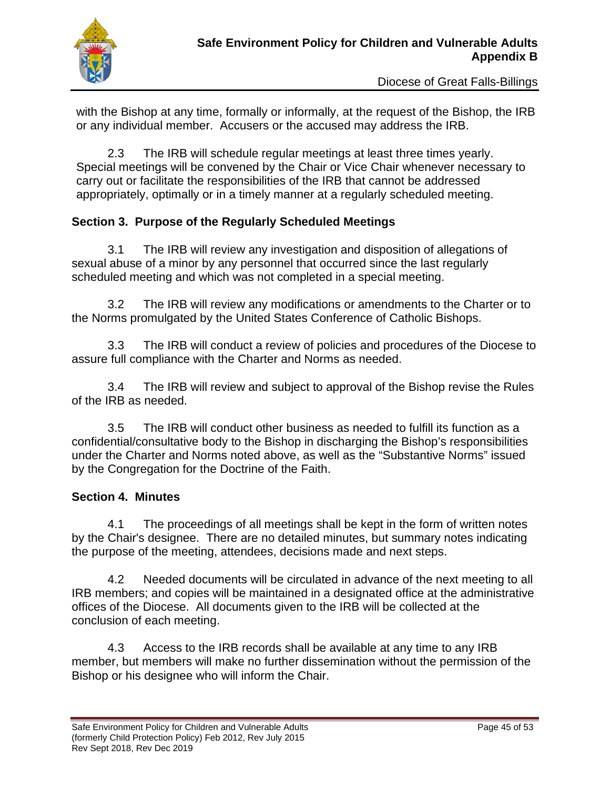

with the Bishop at any time, formally or informally, at the request of the Bishop, the IRB or any individual member. Accusers or the accused may address the IRB.

2.3 The IRB will schedule regular meetings at least three times yearly. Special meetings will be convened by the Chair or Vice Chair whenever necessary to carry out or facilitate the responsibilities of the IRB that cannot be addressed appropriately, optimally or in a timely manner at a regularly scheduled meeting.

#### **Section 3. Purpose of the Regularly Scheduled Meetings**

3.1 The IRB will review any investigation and disposition of allegations of sexual abuse of a minor by any personnel that occurred since the last regularly scheduled meeting and which was not completed in a special meeting.

3.2 The IRB will review any modifications or amendments to the Charter or to the Norms promulgated by the United States Conference of Catholic Bishops.

3.3 The IRB will conduct a review of policies and procedures of the Diocese to assure full compliance with the Charter and Norms as needed.

3.4 The IRB will review and subject to approval of the Bishop revise the Rules of the IRB as needed.

3.5 The IRB will conduct other business as needed to fulfill its function as a confidential/consultative body to the Bishop in discharging the Bishop's responsibilities under the Charter and Norms noted above, as well as the "Substantive Norms" issued by the Congregation for the Doctrine of the Faith.

#### **Section 4. Minutes**

4.1 The proceedings of all meetings shall be kept in the form of written notes by the Chair's designee. There are no detailed minutes, but summary notes indicating the purpose of the meeting, attendees, decisions made and next steps.

4.2 Needed documents will be circulated in advance of the next meeting to all IRB members; and copies will be maintained in a designated office at the administrative offices of the Diocese. All documents given to the IRB will be collected at the conclusion of each meeting.

4.3 Access to the IRB records shall be available at any time to any IRB member, but members will make no further dissemination without the permission of the Bishop or his designee who will inform the Chair.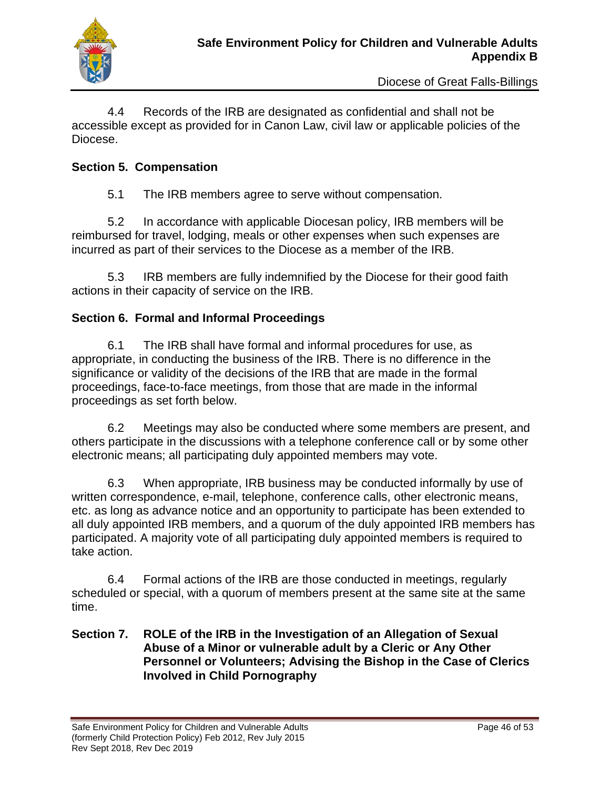

4.4 Records of the IRB are designated as confidential and shall not be accessible except as provided for in Canon Law, civil law or applicable policies of the Diocese.

#### **Section 5. Compensation**

5.1 The IRB members agree to serve without compensation.

5.2 In accordance with applicable Diocesan policy, IRB members will be reimbursed for travel, lodging, meals or other expenses when such expenses are incurred as part of their services to the Diocese as a member of the IRB.

5.3 IRB members are fully indemnified by the Diocese for their good faith actions in their capacity of service on the IRB.

#### **Section 6. Formal and Informal Proceedings**

6.1 The IRB shall have formal and informal procedures for use, as appropriate, in conducting the business of the IRB. There is no difference in the significance or validity of the decisions of the IRB that are made in the formal proceedings, face-to-face meetings, from those that are made in the informal proceedings as set forth below.

6.2 Meetings may also be conducted where some members are present, and others participate in the discussions with a telephone conference call or by some other electronic means; all participating duly appointed members may vote.

6.3 When appropriate, IRB business may be conducted informally by use of written correspondence, e-mail, telephone, conference calls, other electronic means, etc. as long as advance notice and an opportunity to participate has been extended to all duly appointed IRB members, and a quorum of the duly appointed IRB members has participated. A majority vote of all participating duly appointed members is required to take action.

6.4 Formal actions of the IRB are those conducted in meetings, regularly scheduled or special, with a quorum of members present at the same site at the same time.

#### **Section 7. ROLE of the IRB in the Investigation of an Allegation of Sexual Abuse of a Minor or vulnerable adult by a Cleric or Any Other Personnel or Volunteers; Advising the Bishop in the Case of Clerics Involved in Child Pornography**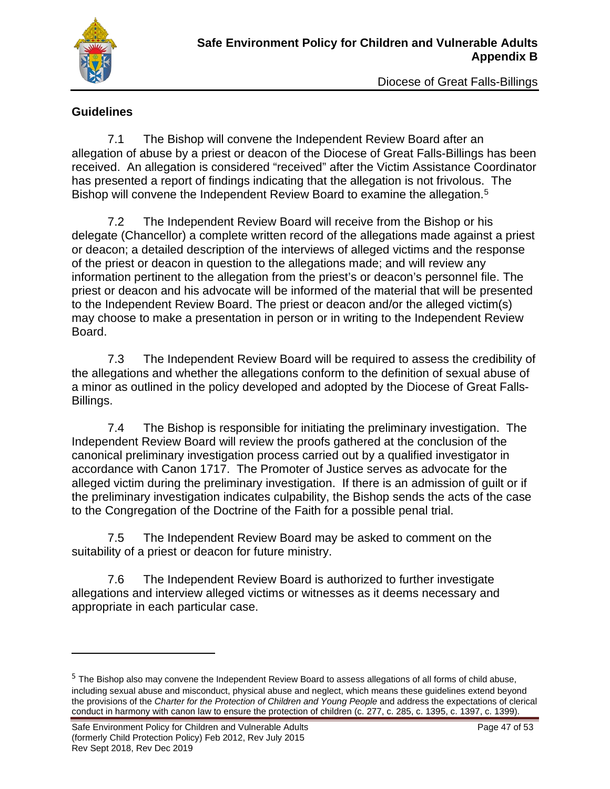

#### **Guidelines**

7.1 The Bishop will convene the Independent Review Board after an allegation of abuse by a priest or deacon of the Diocese of Great Falls-Billings has been received. An allegation is considered "received" after the Victim Assistance Coordinator has presented a report of findings indicating that the allegation is not frivolous. The Bishop will convene the Independent Review Board to examine the allegation.<sup>[5](#page-47-0)</sup>

7.2 The Independent Review Board will receive from the Bishop or his delegate (Chancellor) a complete written record of the allegations made against a priest or deacon; a detailed description of the interviews of alleged victims and the response of the priest or deacon in question to the allegations made; and will review any information pertinent to the allegation from the priest's or deacon's personnel file. The priest or deacon and his advocate will be informed of the material that will be presented to the Independent Review Board. The priest or deacon and/or the alleged victim(s) may choose to make a presentation in person or in writing to the Independent Review Board.

7.3 The Independent Review Board will be required to assess the credibility of the allegations and whether the allegations conform to the definition of sexual abuse of a minor as outlined in the policy developed and adopted by the Diocese of Great Falls-Billings.

7.4 The Bishop is responsible for initiating the preliminary investigation. The Independent Review Board will review the proofs gathered at the conclusion of the canonical preliminary investigation process carried out by a qualified investigator in accordance with Canon 1717. The Promoter of Justice serves as advocate for the alleged victim during the preliminary investigation. If there is an admission of guilt or if the preliminary investigation indicates culpability, the Bishop sends the acts of the case to the Congregation of the Doctrine of the Faith for a possible penal trial.

7.5 The Independent Review Board may be asked to comment on the suitability of a priest or deacon for future ministry.

7.6 The Independent Review Board is authorized to further investigate allegations and interview alleged victims or witnesses as it deems necessary and appropriate in each particular case.

<span id="page-47-0"></span><sup>&</sup>lt;sup>5</sup> The Bishop also may convene the Independent Review Board to assess allegations of all forms of child abuse, including sexual abuse and misconduct, physical abuse and neglect, which means these guidelines extend beyond the provisions of the *Charter for the Protection of Children and Young People* and address the expectations of clerical conduct in harmony with canon law to ensure the protection of children (c. 277, c. 285, c. 1395, c. 1397, c. 1399).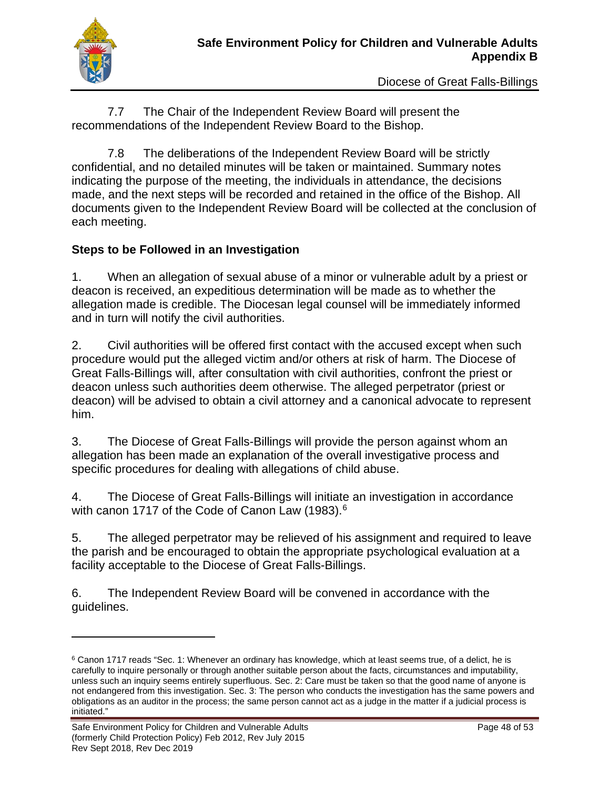

7.7 The Chair of the Independent Review Board will present the recommendations of the Independent Review Board to the Bishop.

7.8 The deliberations of the Independent Review Board will be strictly confidential, and no detailed minutes will be taken or maintained. Summary notes indicating the purpose of the meeting, the individuals in attendance, the decisions made, and the next steps will be recorded and retained in the office of the Bishop. All documents given to the Independent Review Board will be collected at the conclusion of each meeting.

#### **Steps to be Followed in an Investigation**

1. When an allegation of sexual abuse of a minor or vulnerable adult by a priest or deacon is received, an expeditious determination will be made as to whether the allegation made is credible. The Diocesan legal counsel will be immediately informed and in turn will notify the civil authorities.

2. Civil authorities will be offered first contact with the accused except when such procedure would put the alleged victim and/or others at risk of harm. The Diocese of Great Falls-Billings will, after consultation with civil authorities, confront the priest or deacon unless such authorities deem otherwise. The alleged perpetrator (priest or deacon) will be advised to obtain a civil attorney and a canonical advocate to represent him.

3. The Diocese of Great Falls-Billings will provide the person against whom an allegation has been made an explanation of the overall investigative process and specific procedures for dealing with allegations of child abuse.

4. The Diocese of Great Falls-Billings will initiate an investigation in accordance with canon 1717 of the Code of Canon Law (1983).<sup>[6](#page-48-0)</sup>

5. The alleged perpetrator may be relieved of his assignment and required to leave the parish and be encouraged to obtain the appropriate psychological evaluation at a facility acceptable to the Diocese of Great Falls-Billings.

6. The Independent Review Board will be convened in accordance with the guidelines.

<span id="page-48-0"></span><sup>&</sup>lt;sup>6</sup> Canon 1717 reads "Sec. 1: Whenever an ordinary has knowledge, which at least seems true, of a delict, he is carefully to inquire personally or through another suitable person about the facts, circumstances and imputability, unless such an inquiry seems entirely superfluous. Sec. 2: Care must be taken so that the good name of anyone is not endangered from this investigation. Sec. 3: The person who conducts the investigation has the same powers and obligations as an auditor in the process; the same person cannot act as a judge in the matter if a judicial process is initiated."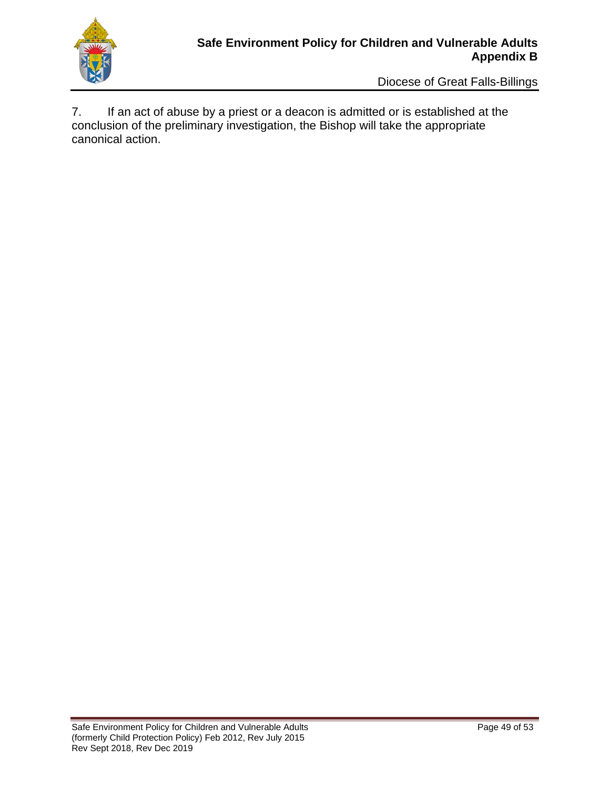

7. If an act of abuse by a priest or a deacon is admitted or is established at the conclusion of the preliminary investigation, the Bishop will take the appropriate canonical action.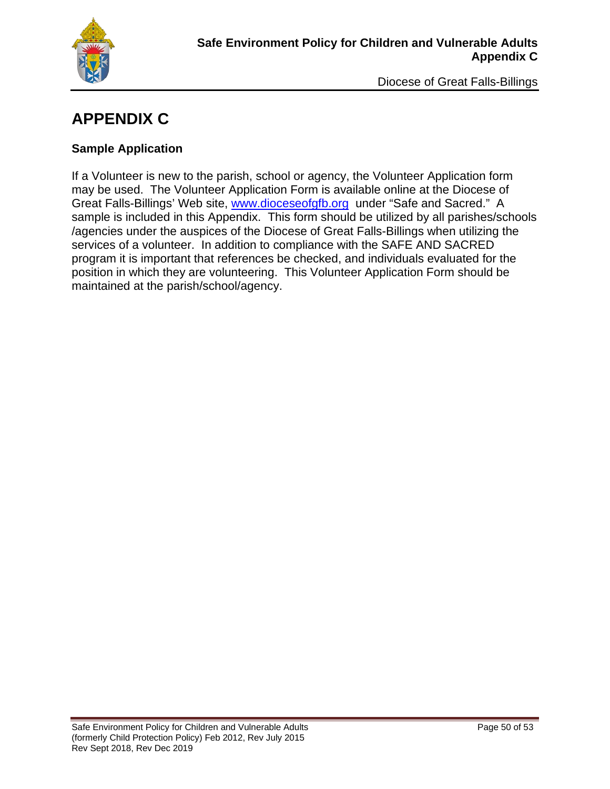

# **APPENDIX C**

#### **Sample Application**

If a Volunteer is new to the parish, school or agency, the Volunteer Application form may be used. The Volunteer Application Form is available online at the Diocese of Great Falls-Billings' Web site, [www.dioceseofgfb.org](http://www.dioceseofgfb.org/) under "Safe and Sacred." A sample is included in this Appendix. This form should be utilized by all parishes/schools /agencies under the auspices of the Diocese of Great Falls-Billings when utilizing the services of a volunteer. In addition to compliance with the SAFE AND SACRED program it is important that references be checked, and individuals evaluated for the position in which they are volunteering. This Volunteer Application Form should be maintained at the parish/school/agency.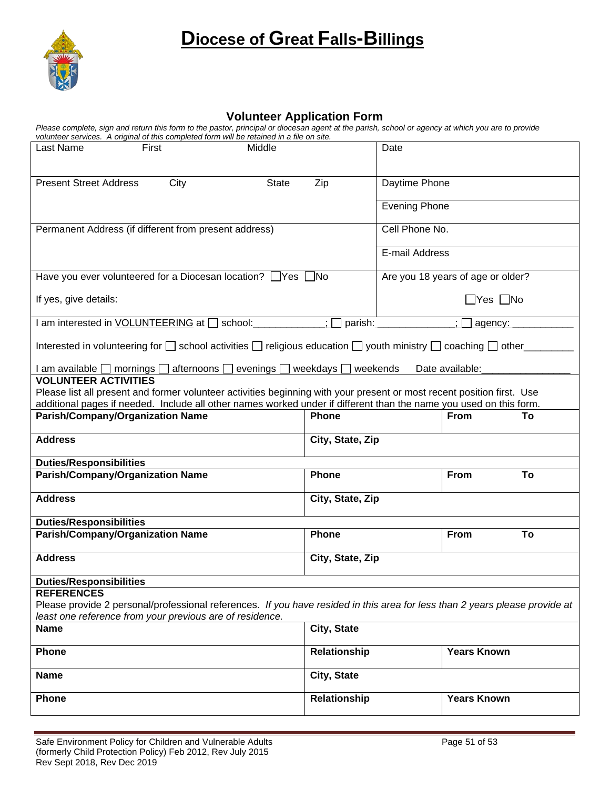

#### **Volunteer Application Form**

*Please complete, sign and return this form to the pastor, principal or diocesan agent at the parish, school or agency at which you are to provide volunteer services. A original of this completed form will be retained in a file on site.* 

| Last Name                                                                                                                                            | First                                                 | Middle                                                                                                                                                                                                                                       | Date                 |                                   |                    |    |  |
|------------------------------------------------------------------------------------------------------------------------------------------------------|-------------------------------------------------------|----------------------------------------------------------------------------------------------------------------------------------------------------------------------------------------------------------------------------------------------|----------------------|-----------------------------------|--------------------|----|--|
| <b>Present Street Address</b>                                                                                                                        | City                                                  | <b>State</b>                                                                                                                                                                                                                                 | Zip                  |                                   | Daytime Phone      |    |  |
|                                                                                                                                                      |                                                       |                                                                                                                                                                                                                                              |                      | <b>Evening Phone</b>              |                    |    |  |
|                                                                                                                                                      | Permanent Address (if different from present address) |                                                                                                                                                                                                                                              |                      | Cell Phone No.                    |                    |    |  |
|                                                                                                                                                      |                                                       |                                                                                                                                                                                                                                              |                      | E-mail Address                    |                    |    |  |
|                                                                                                                                                      |                                                       | Have you ever volunteered for a Diocesan location? $\Box$ Yes $\Box$ No                                                                                                                                                                      |                      | Are you 18 years of age or older? |                    |    |  |
| If yes, give details:                                                                                                                                |                                                       |                                                                                                                                                                                                                                              | $\Box$ Yes $\Box$ No |                                   |                    |    |  |
|                                                                                                                                                      |                                                       | I am interested in VOLUNTEERING at [ ] school: ______________                                                                                                                                                                                | $\overline{1}$       | parish: _____________             | $:\Box$<br>agency: |    |  |
| Interested in volunteering for $\square$ school activities $\square$ religious education $\square$ youth ministry $\square$ coaching $\square$ other |                                                       |                                                                                                                                                                                                                                              |                      |                                   |                    |    |  |
|                                                                                                                                                      |                                                       | I am available □ mornings □ afternoons □ evenings □ weekdays □ weekends                                                                                                                                                                      |                      |                                   | Date available:    |    |  |
| <b>VOLUNTEER ACTIVITIES</b>                                                                                                                          |                                                       |                                                                                                                                                                                                                                              |                      |                                   |                    |    |  |
|                                                                                                                                                      |                                                       | Please list all present and former volunteer activities beginning with your present or most recent position first. Use<br>additional pages if needed. Include all other names worked under if different than the name you used on this form. |                      |                                   |                    |    |  |
|                                                                                                                                                      | <b>Parish/Company/Organization Name</b>               |                                                                                                                                                                                                                                              | Phone                |                                   | <b>From</b>        | To |  |
|                                                                                                                                                      |                                                       |                                                                                                                                                                                                                                              |                      |                                   |                    |    |  |
| <b>Address</b>                                                                                                                                       |                                                       |                                                                                                                                                                                                                                              | City, State, Zip     |                                   |                    |    |  |
| <b>Duties/Responsibilities</b>                                                                                                                       |                                                       |                                                                                                                                                                                                                                              |                      |                                   |                    |    |  |
|                                                                                                                                                      | <b>Parish/Company/Organization Name</b>               |                                                                                                                                                                                                                                              | Phone                |                                   | <b>From</b>        | To |  |
| <b>Address</b>                                                                                                                                       |                                                       |                                                                                                                                                                                                                                              | City, State, Zip     |                                   |                    |    |  |
| <b>Duties/Responsibilities</b>                                                                                                                       |                                                       |                                                                                                                                                                                                                                              |                      |                                   |                    |    |  |
|                                                                                                                                                      | <b>Parish/Company/Organization Name</b>               |                                                                                                                                                                                                                                              | Phone                |                                   | <b>From</b>        | To |  |
| <b>Address</b>                                                                                                                                       |                                                       |                                                                                                                                                                                                                                              | City, State, Zip     |                                   |                    |    |  |
| <b>Duties/Responsibilities</b>                                                                                                                       |                                                       |                                                                                                                                                                                                                                              |                      |                                   |                    |    |  |
| <b>REFERENCES</b>                                                                                                                                    |                                                       |                                                                                                                                                                                                                                              |                      |                                   |                    |    |  |
| Please provide 2 personal/professional references. If you have resided in this area for less than 2 years please provide at                          |                                                       |                                                                                                                                                                                                                                              |                      |                                   |                    |    |  |
| least one reference from your previous are of residence.<br>City, State<br><b>Name</b>                                                               |                                                       |                                                                                                                                                                                                                                              |                      |                                   |                    |    |  |
|                                                                                                                                                      |                                                       |                                                                                                                                                                                                                                              |                      |                                   |                    |    |  |
| <b>Phone</b>                                                                                                                                         |                                                       |                                                                                                                                                                                                                                              | Relationship         |                                   | <b>Years Known</b> |    |  |
| <b>Name</b>                                                                                                                                          |                                                       |                                                                                                                                                                                                                                              | City, State          |                                   |                    |    |  |
| Phone                                                                                                                                                |                                                       |                                                                                                                                                                                                                                              | Relationship         |                                   | <b>Years Known</b> |    |  |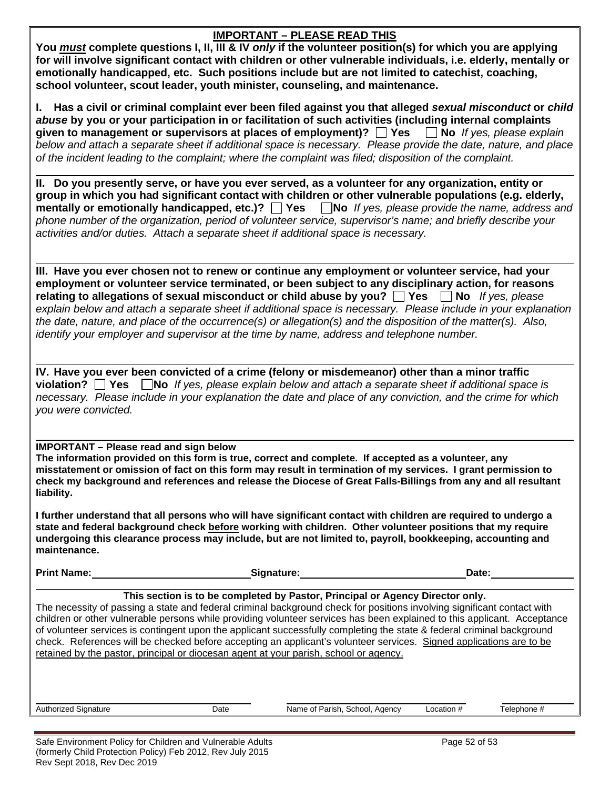#### **IMPORTANT – PLEASE READ THIS**

**You** *must* **complete questions I, II, III & IV** *only* **if the volunteer position(s) for which you are applying for will involve significant contact with children or other vulnerable individuals, i.e. elderly, mentally or emotionally handicapped, etc. Such positions include but are not limited to catechist, coaching, school volunteer, scout leader, youth minister, counseling, and maintenance.**

**I. Has a civil or criminal complaint ever been filed against you that alleged** *sexual misconduct* **or** *child abuse* **by you or your participation in or facilitation of such activities (including internal complaints given to management or supervisors at places of employment)?**  $\Box$  **Yes**  $\Box$  **No** *If yes, please explain below and attach a separate sheet if additional space is necessary. Please provide the date, nature, and place of the incident leading to the complaint; where the complaint was filed; disposition of the complaint.*

**II. Do you presently serve, or have you ever served, as a volunteer for any organization, entity or group in which you had significant contact with children or other vulnerable populations (e.g. elderly, mentally or emotionally handicapped, etc.)?** Thes **No** *If yes, please provide the name, address and* **m** *phone number of the organization, period of volunteer service, supervisor's name; and briefly describe your activities and/or duties. Attach a separate sheet if additional space is necessary.*

**III. Have you ever chosen not to renew or continue any employment or volunteer service, had your employment or volunteer service terminated, or been subject to any disciplinary action, for reasons relating to allegations of sexual misconduct or child abuse by you?**  $\Box$  Yes  $\Box$  No *If yes, please explain below and attach a separate sheet if additional space is necessary. Please include in your explanation the date, nature, and place of the occurrence(s) or allegation(s) and the disposition of the matter(s). Also, identify your employer and supervisor at the time by name, address and telephone number.*

**IV. Have you ever been convicted of a crime (felony or misdemeanor) other than a minor traffic violation? Yes No** *If yes, please explain below and attach a separate sheet if additional space is necessary. Please include in your explanation the date and place of any conviction, and the crime for which you were convicted.*

#### **IMPORTANT – Please read and sign below**

**The information provided on this form is true, correct and complete. If accepted as a volunteer, any misstatement or omission of fact on this form may result in termination of my services. I grant permission to check my background and references and release the Diocese of Great Falls-Billings from any and all resultant liability.**

**I further understand that all persons who will have significant contact with children are required to undergo a state and federal background check before working with children. Other volunteer positions that my require undergoing this clearance process may include, but are not limited to, payroll, bookkeeping, accounting and maintenance.**

**Print Name: Contract Contract Contract Contract Contract Contract Contract Contract Contract Contract Contract Contract Contract Contract Contract Contract Contract Contract Contract Contract Contract Contract Contract** 

#### **This section is to be completed by Pastor, Principal or Agency Director only.**

The necessity of passing a state and federal criminal background check for positions involving significant contact with children or other vulnerable persons while providing volunteer services has been explained to this applicant. Acceptance of volunteer services is contingent upon the applicant successfully completing the state & federal criminal background check. References will be checked before accepting an applicant's volunteer services. Signed applications are to be retained by the pastor, principal or diocesan agent at your parish, school or agency.

Authorized Signature **Name of Parish, School, Agency** Location # Telephone # Telephone #